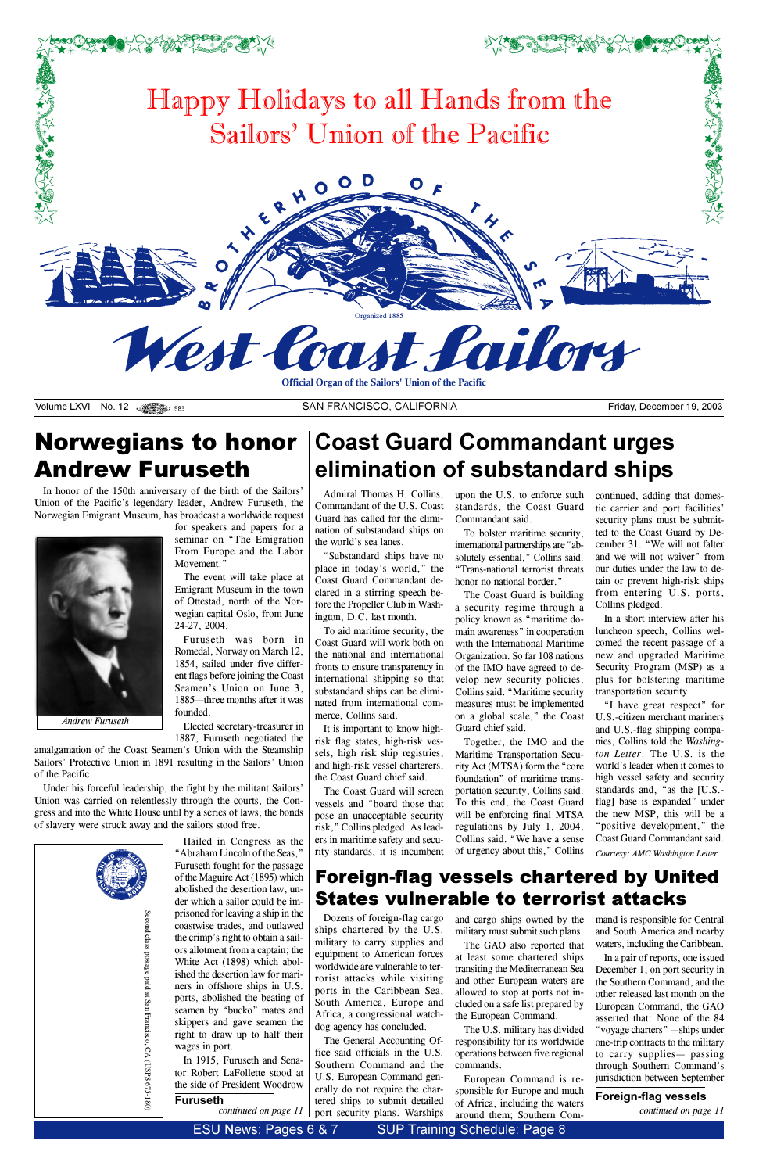

Õ

 $\mathbf O$ 



**Official Organ of the Sailors' Union of the Pacific** 

Volume LXVI No. 12 3

SAN FRANCISCO, CALIFORNIA

Friday, December 19, 2003

# **Norwegians to honor Andrew Furuseth**

In honor of the 150th anniversary of the birth of the Sailors' Union of the Pacific's legendary leader, Andrew Furuseth, the Norwegian Emigrant Museum, has broadcast a worldwide request



**Andrew Furuseth** 

for speakers and papers for a seminar on "The Emigration From Europe and the Labor Movement."

The event will take place at Emigrant Museum in the town of Ottestad, north of the Norwegian capital Oslo, from June 24-27, 2004.

Furuseth was born in Romedal, Norway on March 12, 1854, sailed under five different flags before joining the Coast Seamen's Union on June 3, 1885—three months after it was founded.

Elected secretary-treasurer in 1887, Furuseth negotiated the

amalgamation of the Coast Seamen's Union with the Steamship Sailors' Protective Union in 1891 resulting in the Sailors' Union of the Pacific.

Under his forceful leadership, the fight by the militant Sailors' Union was carried on relentlessly through the courts, the Congress and into the White House until by a series of laws, the bonds of slavery were struck away and the sailors stood free.



Hailed in Congress as the "Abraham Lincoln of the Seas," Furuseth fought for the passage of the Maguire Act (1895) which abolished the desertion law, under which a sailor could be imprisoned for leaving a ship in the coastwise trades, and outlawed the crimp's right to obtain a sailors allotment from a captain; the White Act (1898) which abolished the desertion law for mariners in offshore ships in U.S. ports, abolished the beating of seamen by "bucko" mates and skippers and gave seamen the right to draw up to half their wages in port. In 1915, Furuseth and Senator Robert LaFollette stood at the side of President Woodrow

# **Coast Guard Commandant urges** elimination of substandard ships

Admiral Thomas H. Collins. Commandant of the U.S. Coast Guard has called for the elimination of substandard ships on the world's sea lanes.

"Substandard ships have no place in today's world," the Coast Guard Commandant declared in a stirring speech before the Propeller Club in Washington, D.C. last month.

To aid maritime security, the Coast Guard will work both on the national and international fronts to ensure transparency in international shipping so that substandard ships can be eliminated from international commerce, Collins said.

It is important to know highrisk flag states, high-risk vessels, high risk ship registries, and high-risk vessel charterers, the Coast Guard chief said.

The Coast Guard will screen vessels and "board those that pose an unacceptable security risk," Collins pledged. As leaders in maritime safety and security standards, it is incumbent upon the U.S. to enforce such standards, the Coast Guard Commandant said.

To bolster maritime security, international partnerships are "absolutely essential," Collins said. "Trans-national terrorist threats honor no national border."

The Coast Guard is building a security regime through a policy known as "maritime domain awareness" in cooperation with the International Maritime Organization. So far 108 nations of the IMO have agreed to develop new security policies, Collins said. "Maritime security measures must be implemented on a global scale," the Coast Guard chief said.

Together, the IMO and the Maritime Transportation Security Act (MTSA) form the "core foundation" of maritime transportation security, Collins said. To this end, the Coast Guard will be enforcing final MTSA regulations by July 1, 2004, Collins said. "We have a sense of urgency about this," Collins

continued, adding that domestic carrier and port facilities' security plans must be submitted to the Coast Guard by December 31. "We will not falter and we will not waiver" from our duties under the law to detain or prevent high-risk ships from entering U.S. ports, Collins pledged.

In a short interview after his luncheon speech, Collins welcomed the recent passage of a new and upgraded Maritime Security Program (MSP) as a plus for bolstering maritime transportation security.

"I have great respect" for U.S.-citizen merchant mariners and U.S.-flag shipping companies, Collins told the Washington Letter. The U.S. is the world's leader when it comes to high vessel safety and security standards and, "as the [U.S.flag] base is expanded" under the new MSP, this will be a "positive development," the Coast Guard Commandant said.

Courtesy: AMC Washington Letter



Second class postage paid at San Francisco, CA (USPS 675-180)

#### **Furuseth**

continued on page 11

## **Foreign-flag vessels chartered by United States vulnerable to terrorist attacks**

Dozens of foreign-flag cargo ships chartered by the U.S. military to carry supplies and equipment to American forces worldwide are vulnerable to terrorist attacks while visiting ports in the Caribbean Sea, South America, Europe and Africa, a congressional watchdog agency has concluded.

The General Accounting Office said officials in the U.S. Southern Command and the U.S. European Command generally do not require the chartered ships to submit detailed port security plans. Warships

and cargo ships owned by the military must submit such plans. The GAO also reported that at least some chartered ships transiting the Mediterranean Sea and other European waters are allowed to stop at ports not included on a safe list prepared by the European Command.

The U.S. military has divided responsibility for its worldwide operations between five regional commands.

European Command is responsible for Europe and much of Africa, including the waters around them; Southern Command is responsible for Central and South America and nearby waters, including the Caribbean. In a pair of reports, one issued December 1, on port security in the Southern Command, and the other released last month on the European Command, the GAO asserted that: None of the 84 "voyage charters" - ships under one-trip contracts to the military to carry supplies - passing through Southern Command's jurisdiction between September

#### **Foreign-flag vessels**

continued on page 11

ESU News: Pages 6 & 7

**SUP Training Schedule: Page 8**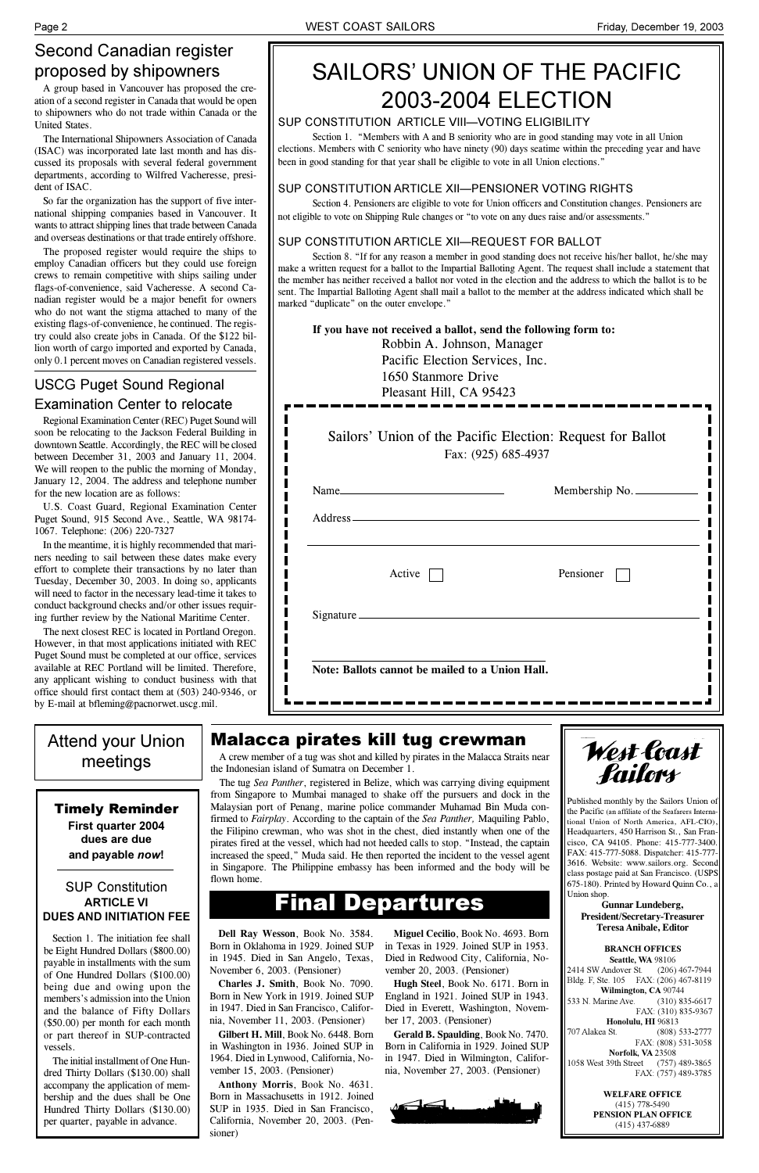## **Second Canadian register** proposed by shipowners

A group based in Vancouver has proposed the creation of a second register in Canada that would be open to shipowners who do not trade within Canada or the United States.

The International Shipowners Association of Canada (ISAC) was incorporated late last month and has discussed its proposals with several federal government departments, according to Wilfred Vacheresse, president of ISAC.

So far the organization has the support of five international shipping companies based in Vancouver. It wants to attract shipping lines that trade between Canada and overseas destinations or that trade entirely offshore.

The proposed register would require the ships to employ Canadian officers but they could use foreign crews to remain competitive with ships sailing under flags-of-convenience, said Vacheresse. A second Canadian register would be a major benefit for owners who do not want the stigma attached to many of the existing flags-of-convenience, he continued. The registry could also create jobs in Canada. Of the \$122 billion worth of cargo imported and exported by Canada, only 0.1 percent moves on Canadian registered vessels.

### **USCG Puget Sound Regional Examination Center to relocate**

Regional Examination Center (REC) Puget Sound will soon be relocating to the Jackson Federal Building in downtown Seattle. Accordingly, the REC will be closed between December 31, 2003 and January 11, 2004. We will reopen to the public the morning of Monday, January 12, 2004. The address and telephone number for the new location are as follows:

U.S. Coast Guard, Regional Examination Center Puget Sound, 915 Second Ave., Seattle, WA 98174-1067. Telephone: (206) 220-7327

In the meantime, it is highly recommended that mariners needing to sail between these dates make every effort to complete their transactions by no later than Tuesday, December 30, 2003. In doing so, applicants will need to factor in the necessary lead-time it takes to conduct background checks and/or other issues requiring further review by the National Maritime Center.

The next closest REC is located in Portland Oregon. However, in that most applications initiated with REC Puget Sound must be completed at our office, services available at REC Portland will be limited. Therefore, any applicant wishing to conduct business with that office should first contact them at (503) 240-9346, or by E-mail at bfleming@pacnorwet.uscg.mil.

## **Attend your Union** meetings

**Timely Reminder First quarter 2004** dues are due and pavable now!

# **SAILORS' UNION OF THE PACIFIC 2003-2004 ELECTION**

#### SUP CONSTITUTION ARTICLE VIII-VOTING ELIGIBILITY

Section 1. "Members with A and B seniority who are in good standing may vote in all Union elections. Members with C seniority who have ninety (90) days seatime within the preceding year and have been in good standing for that year shall be eligible to vote in all Union elections."

#### SUP CONSTITUTION ARTICLE XII—PENSIONER VOTING RIGHTS

Section 4. Pensioners are eligible to vote for Union officers and Constitution changes. Pensioners are not eligible to vote on Shipping Rule changes or "to vote on any dues raise and/or assessments."

#### SUP CONSTITUTION ARTICLE XII-REQUEST FOR BALLOT

Section 8. "If for any reason a member in good standing does not receive his/her ballot, he/she may make a written request for a ballot to the Impartial Balloting Agent. The request shall include a statement that the member has neither received a ballot nor voted in the election and the address to which the ballot is to be sent. The Impartial Balloting Agent shall mail a ballot to the member at the address indicated which shall be marked "duplicate" on the outer envelope."

|                                                                                   | Robbin A. Johnson, Manager<br>Pacific Election Services, Inc.<br>1650 Stanmore Drive<br>Pleasant Hill, CA 95423 | If you have not received a ballot, send the following form to: |
|-----------------------------------------------------------------------------------|-----------------------------------------------------------------------------------------------------------------|----------------------------------------------------------------|
| Sailors' Union of the Pacific Election: Request for Ballot<br>Fax: (925) 685-4937 |                                                                                                                 |                                                                |
|                                                                                   | Name                                                                                                            |                                                                |
|                                                                                   |                                                                                                                 |                                                                |
|                                                                                   | Active $\Box$                                                                                                   | Pensioner                                                      |
|                                                                                   | Signature                                                                                                       |                                                                |
|                                                                                   | Note: Ballots cannot be mailed to a Union Hall.                                                                 |                                                                |

## Malacca pirates kill tug crewman

A crew member of a tug was shot and killed by pirates in the Malacca Straits near the Indonesian island of Sumatra on December 1.

The tug Sea Panther, registered in Belize, which was carrying diving equipment from Singapore to Mumbai managed to shake off the pursuers and dock in the Malaysian port of Penang, marine police commander Muhamad Bin Muda confirmed to Fairplay. According to the captain of the Sea Panther, Maquiling Pablo, the Filipino crewman, who was shot in the chest, died instantly when one of the pirates fired at the vessel, which had not heeded calls to stop. "Instead, the captain increased the speed," Muda said. He then reported the incident to the vessel agent



Published monthly by the Sailors Union of the Pacific (an affiliate of the Seafarers International Union of North America, AFL-CIO). Headquarters, 450 Harrison St., San Francisco, CA 94105. Phone: 415-777-3400. FAX: 415-777-5088. Dispatcher: 415-777-3616. Website: www.sailors.org. Second class postage paid at San Francisco. (USPS 675-180). Printed by Howard Quinn Co., a Union shop. **Gunnar Lundeberg,** President/Secretary-Treasurer **Teresa Anibale, Editor** 

#### **SUP Constitution ARTICLE VI DUES AND INITIATION FEE**

Section 1. The initiation fee shall be Eight Hundred Dollars (\$800.00) payable in installments with the sum of One Hundred Dollars (\$100.00) being due and owing upon the members's admission into the Union and the balance of Fifty Dollars  $(\$50.00)$  per month for each month or part thereof in SUP-contracted vessels.

The initial installment of One Hundred Thirty Dollars (\$130.00) shall accompany the application of membership and the dues shall be One Hundred Thirty Dollars (\$130.00) per quarter, payable in advance.

in Singapore. The Philippine embassy has been informed and the body will be flown home.

# **Final Departures**

Dell Ray Wesson, Book No. 3584. Born in Oklahoma in 1929. Joined SUP in 1945. Died in San Angelo, Texas, November 6, 2003. (Pensioner)

Charles J. Smith, Book No. 7090. Born in New York in 1919. Joined SUP in 1947. Died in San Francisco, California, November 11, 2003. (Pensioner)

Gilbert H. Mill, Book No. 6448. Born in Washington in 1936. Joined SUP in 1964. Died in Lynwood, California, November 15, 2003. (Pensioner)

Anthony Morris, Book No. 4631. Born in Massachusetts in 1912. Joined SUP in 1935. Died in San Francisco, California, November 20, 2003. (Pensioner)

Miguel Cecilio, Book No. 4693. Born in Texas in 1929. Joined SUP in 1953. Died in Redwood City, California, November 20, 2003. (Pensioner)

Hugh Steel, Book No. 6171. Born in England in 1921. Joined SUP in 1943. Died in Everett, Washington, November 17, 2003. (Pensioner)

Gerald B. Spaulding, Book No. 7470. Born in California in 1929. Joined SUP in 1947. Died in Wilmington, California, November 27, 2003. (Pensioner)



**BRANCH OFFICES** Seattle, WA 98106  $(206)$  467-7944 2414 SW Andover St. Bldg. F, Ste. 105 FAX: (206) 467-8119 Wilmington, CA 90744  $(310)$  835-6617 533 N. Marine Ave. FAX: (310) 835-9367 Honolulu, HI 96813 707 Alakea St.  $(808) 533 - 2777$ FAX: (808) 531-3058 Norfolk, VA 23508 1058 West 39th Street (757) 489-3865 FAX: (757) 489-3785

> **WELFARE OFFICE**  $(415)$  778-5490 PENSION PLAN OFFICE  $(415)$  437-6889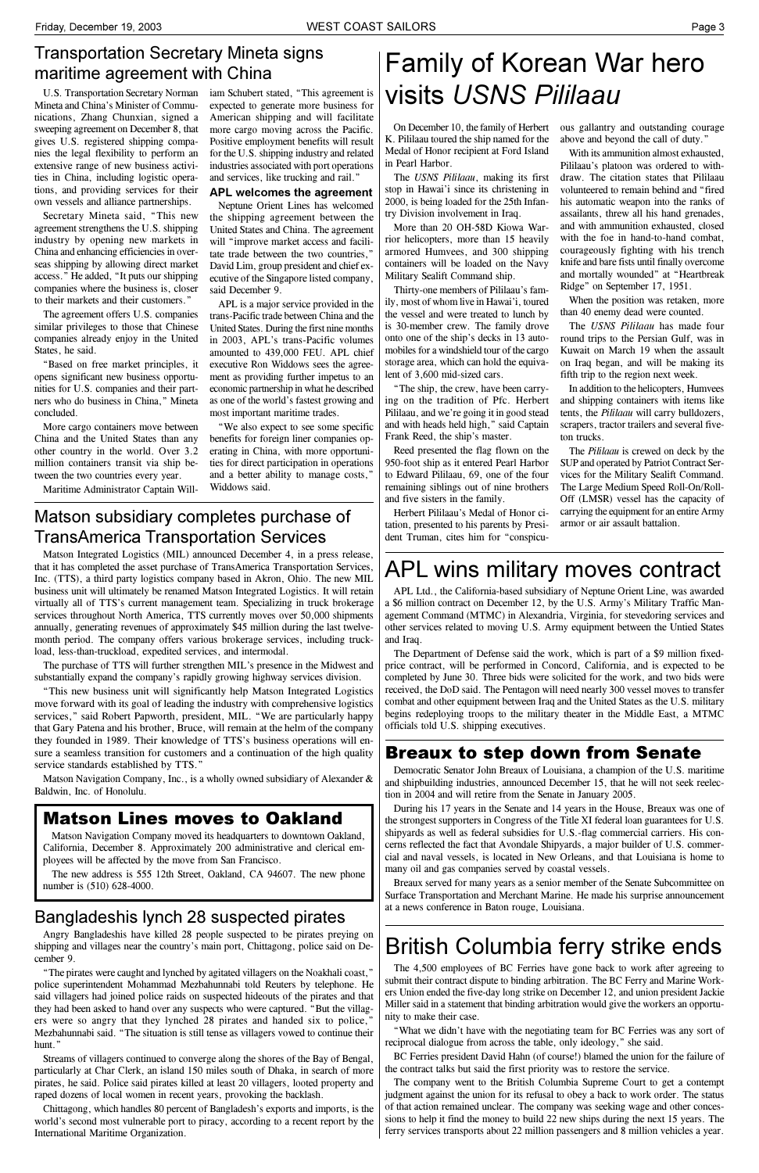## **Transportation Secretary Mineta signs** maritime agreement with China

U.S. Transportation Secretary Norman Mineta and China's Minister of Communications, Zhang Chunxian, signed a sweeping agreement on December 8, that gives U.S. registered shipping companies the legal flexibility to perform an extensive range of new business activities in China, including logistic operations, and providing services for their own vessels and alliance partnerships.

Secretary Mineta said, "This new agreement strengthens the U.S. shipping industry by opening new markets in China and enhancing efficiencies in overseas shipping by allowing direct market access." He added, "It puts our shipping companies where the business is, closer to their markets and their customers."

The agreement offers U.S. companies similar privileges to those that Chinese companies already enjoy in the United States, he said.

"Based on free market principles, it opens significant new business opportunities for U.S. companies and their partners who do business in China," Mineta concluded.

More cargo containers move between China and the United States than any other country in the world. Over 3.2 million containers transit via ship between the two countries every year.

Maritime Administrator Captain Will-

iam Schubert stated, "This agreement is expected to generate more business for American shipping and will facilitate more cargo moving across the Pacific. Positive employment benefits will result for the U.S. shipping industry and related industries associated with port operations and services, like trucking and rail."

#### **APL welcomes the agreement**

Neptune Orient Lines has welcomed the shipping agreement between the United States and China. The agreement will "improve market access and facilitate trade between the two countries," David Lim, group president and chief executive of the Singapore listed company, said December 9.

APL is a major service provided in the trans-Pacific trade between China and the United States. During the first nine months in 2003, APL's trans-Pacific volumes amounted to 439,000 FEU. APL chief executive Ron Widdows sees the agreement as providing further impetus to an economic partnership in what he described as one of the world's fastest growing and most important maritime trades.

"We also expect to see some specific benefits for foreign liner companies operating in China, with more opportunities for direct participation in operations and a better ability to manage costs," Widdows said.

## Matson subsidiary completes purchase of **TransAmerica Transportation Services**

Matson Integrated Logistics (MIL) announced December 4, in a press release, that it has completed the asset purchase of TransAmerica Transportation Services, Inc. (TTS), a third party logistics company based in Akron, Ohio. The new MIL business unit will ultimately be renamed Matson Integrated Logistics. It will retain virtually all of TTS's current management team. Specializing in truck brokerage services throughout North America, TTS currently moves over 50,000 shipments annually, generating revenues of approximately \$45 million during the last twelvemonth period. The company offers various brokerage services, including truckload, less-than-truckload, expedited services, and intermodal.

The purchase of TTS will further strengthen MIL's presence in the Midwest and substantially expand the company's rapidly growing highway services division.

"This new business unit will significantly help Matson Integrated Logistics move forward with its goal of leading the industry with comprehensive logistics services," said Robert Papworth, president, MIL. "We are particularly happy that Gary Patena and his brother, Bruce, will remain at the helm of the company they founded in 1989. Their knowledge of TTS's business operations will ensure a seamless transition for customers and a continuation of the high quality service standards established by TTS."

Matson Navigation Company, Inc., is a wholly owned subsidiary of Alexander & Baldwin, Inc. of Honolulu.

## **Matson Lines moves to Oakland**

Matson Navigation Company moved its headquarters to downtown Oakland, California, December 8. Approximately 200 administrative and clerical employees will be affected by the move from San Francisco.

# Family of Korean War hero visits USNS Pililaau

K. Pililaau toured the ship named for the Medal of Honor recipient at Ford Island in Pearl Harbor.

The USNS Pililaau, making its first stop in Hawai'i since its christening in 2000, is being loaded for the 25th Infantry Division involvement in Iraq.

More than 20 OH-58D Kiowa Warrior helicopters, more than 15 heavily armored Humvees, and 300 shipping containers will be loaded on the Navy Military Sealift Command ship.

Thirty-one members of Pililaau's familv. most of whom live in Hawai'i, toured the vessel and were treated to lunch by is 30-member crew. The family drove onto one of the ship's decks in 13 automobiles for a windshield tour of the cargo storage area, which can hold the equivalent of 3,600 mid-sized cars.

"The ship, the crew, have been carrying on the tradition of Pfc. Herbert Pililaau, and we're going it in good stead and with heads held high," said Captain Frank Reed, the ship's master.

Reed presented the flag flown on the 950-foot ship as it entered Pearl Harbor to Edward Pililaau, 69, one of the four remaining siblings out of nine brothers and five sisters in the family.

Herbert Pililaau's Medal of Honor citation, presented to his parents by President Truman, cites him for "conspicu-

On December 10, the family of Herbert ous gallantry and outstanding courage above and beyond the call of duty."

> With its ammunition almost exhausted, Pililaau's platoon was ordered to withdraw. The citation states that Pililaau volunteered to remain behind and "fired his automatic weapon into the ranks of assailants, threw all his hand grenades, and with ammunition exhausted, closed with the foe in hand-to-hand combat, courageously fighting with his trench knife and bare fists until finally overcome and mortally wounded" at "Heartbreak Ridge" on September 17, 1951.

When the position was retaken, more than 40 enemy dead were counted.

The USNS Pililaau has made four round trips to the Persian Gulf, was in Kuwait on March 19 when the assault on Iraq began, and will be making its fifth trip to the region next week.

In addition to the helicopters, Humvees and shipping containers with items like tents, the *Pililaau* will carry bulldozers, scrapers, tractor trailers and several fiveton trucks.

The *Pililaau* is crewed on deck by the SUP and operated by Patriot Contract Services for the Military Sealift Command. The Large Medium Speed Roll-On/Roll-Off (LMSR) vessel has the capacity of carrying the equipment for an entire Army armor or air assault battalion.

# APL wins military moves contract

APL Ltd., the California-based subsidiary of Neptune Orient Line, was awarded a \$6 million contract on December 12, by the U.S. Army's Military Traffic Management Command (MTMC) in Alexandria, Virginia, for stevedoring services and other services related to moving U.S. Army equipment between the Untied States and Iraq.

The Department of Defense said the work, which is part of a \$9 million fixedprice contract, will be performed in Concord, California, and is expected to be completed by June 30. Three bids were solicited for the work, and two bids were received, the DoD said. The Pentagon will need nearly 300 vessel moves to transfer combat and other equipment between Iraq and the United States as the U.S. military begins redeploying troops to the military theater in the Middle East, a MTMC officials told U.S. shipping executives.

## **Breaux to step down from Senate**

Democratic Senator John Breaux of Louisiana, a champion of the U.S. maritime and shipbuilding industries, announced December 15, that he will not seek reelection in 2004 and will retire from the Senate in January 2005.

During his 17 years in the Senate and 14 years in the House, Breaux was one of the strongest supporters in Congress of the Title XI federal loan guarantees for U.S. shipyards as well as federal subsidies for U.S.-flag commercial carriers. His concerns reflected the fact that Avondale Shipyards, a major builder of U.S. commercial and naval vessels, is located in New Orleans, and that Louisiana is home to

The new address is 555 12th Street, Oakland, CA 94607. The new phone number is (510) 628-4000.

## Bangladeshis lynch 28 suspected pirates

Angry Bangladeshis have killed 28 people suspected to be pirates preying on shipping and villages near the country's main port, Chittagong, police said on December 9.

"The pirates were caught and lynched by agitated villagers on the Noakhali coast," police superintendent Mohammad Mezbahunnabi told Reuters by telephone. He said villagers had joined police raids on suspected hideouts of the pirates and that they had been asked to hand over any suspects who were captured. "But the villagers were so angry that they lynched 28 pirates and handed six to police," Mezbahunnabi said. "The situation is still tense as villagers vowed to continue their hunt."

Streams of villagers continued to converge along the shores of the Bay of Bengal, particularly at Char Clerk, an island 150 miles south of Dhaka, in search of more pirates, he said. Police said pirates killed at least 20 villagers, looted property and raped dozens of local women in recent years, provoking the backlash.

Chittagong, which handles 80 percent of Bangladesh's exports and imports, is the world's second most vulnerable port to piracy, according to a recent report by the International Maritime Organization.

many oil and gas companies served by coastal vessels.

Breaux served for many years as a senior member of the Senate Subcommittee on Surface Transportation and Merchant Marine. He made his surprise announcement at a news conference in Baton rouge, Louisiana.

# **British Columbia ferry strike ends**

The 4,500 employees of BC Ferries have gone back to work after agreeing to submit their contract dispute to binding arbitration. The BC Ferry and Marine Workers Union ended the five-day long strike on December 12, and union president Jackie Miller said in a statement that binding arbitration would give the workers an opportunity to make their case.

"What we didn't have with the negotiating team for BC Ferries was any sort of reciprocal dialogue from across the table, only ideology," she said.

BC Ferries president David Hahn (of course!) blamed the union for the failure of the contract talks but said the first priority was to restore the service.

The company went to the British Columbia Supreme Court to get a contempt judgment against the union for its refusal to obey a back to work order. The status of that action remained unclear. The company was seeking wage and other concessions to help it find the money to build 22 new ships during the next 15 years. The ferry services transports about 22 million passengers and 8 million vehicles a year.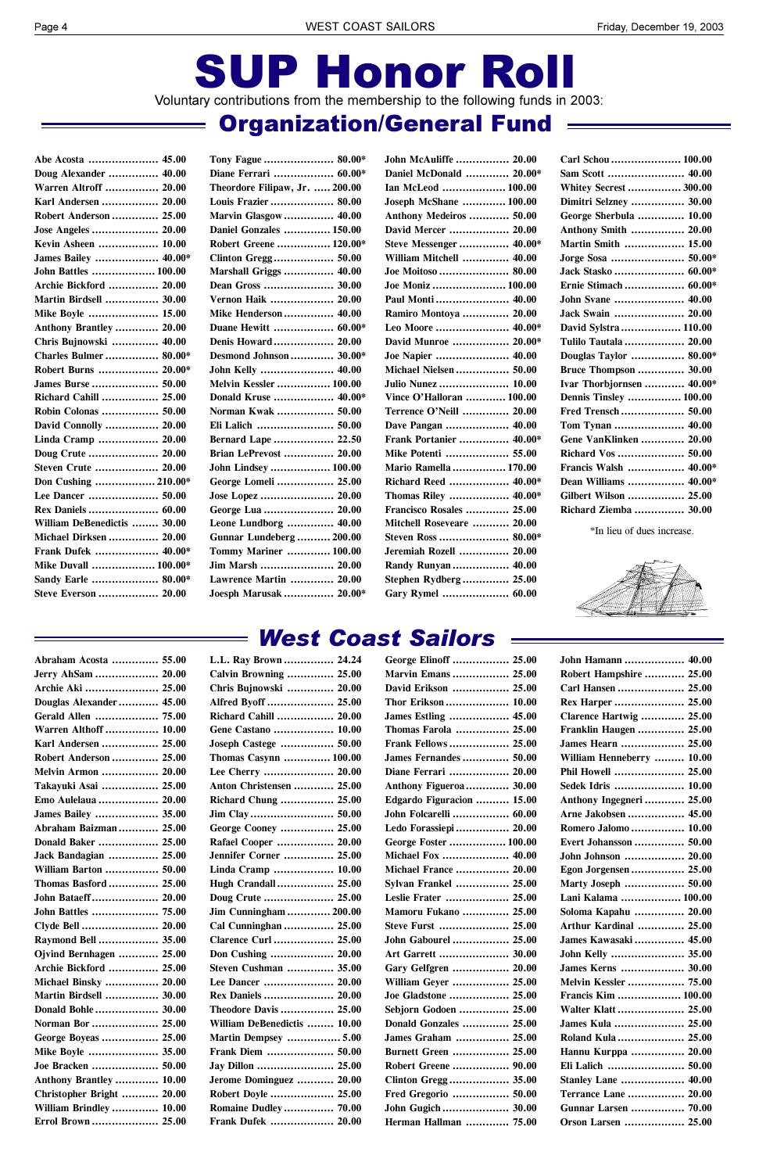# **SUP Honor Rol** Voluntary contributions from the membership to the following funds in 2003:

# - Organization/General Fund =

| Abe Acosta  45.00              |
|--------------------------------|
| Doug Alexander  40.00          |
| <b>Warren Altroff  20.00</b>   |
| Karl Andersen  20.00           |
| Robert Anderson  25.00         |
| Jose Angeles  20.00            |
| Kevin Asheen  10.00            |
| James Bailey  40.00*           |
| John Battles  100.00           |
| <b>Archie Bickford  20.00</b>  |
| <b>Martin Birdsell  30.00</b>  |
| Mike Boyle  15.00              |
| <b>Anthony Brantley  20.00</b> |
| Chris Bujnowski  40.00         |
| <b>Charles Bulmer  80.00*</b>  |
| Robert Burns  20.00*           |
| <b>James Burse  50.00</b>      |
| <b>Richard Cahill  25.00</b>   |
| Robin Colonas  50.00           |
| David Connolly  20.00          |
| Linda Cramp  20.00             |
| Doug Crute  20.00              |
| <b>Steven Crute  20.00</b>     |
| Don Cushing  210.00*           |
| Lee Dancer  50.00              |
|                                |
| William DeBenedictis  30.00    |
| <b>Michael Dirksen  20.00</b>  |
| Frank Dufek  40.00*            |
| Mike Duvall  100.00*           |
| Sandy Earle  80.00*            |
| <b>Steve Everson  20.00</b>    |
|                                |

| Tony Fague  80.00*              |
|---------------------------------|
| Diane Ferrari  60.00*           |
| Theordore Filipaw, Jr.  200.00  |
| Louis Frazier  80.00            |
| <b>Marvin Glasgow</b> 40.00     |
| Daniel Gonzales  150.00         |
| Robert Greene  120.00*          |
| <b>Clinton Gregg 50.00</b>      |
| <b>Marshall Griggs  40.00</b>   |
| Dean Gross  30.00               |
| Vernon Haik  20.00              |
| Mike Henderson 40.00            |
| Duane Hewitt  60.00*            |
| Denis Howard 20.00              |
| <b>Desmond Johnson  30.00*</b>  |
| John Kelly  40.00               |
| <b>Melvin Kessler  100.00</b>   |
| Donald Kruse  40.00*            |
| Norman Kwak  50.00              |
|                                 |
| Bernard Lape  22.50             |
| <b>Brian LePrevost  20.00</b>   |
| John Lindsey  100.00            |
| George Lomeli  25.00            |
|                                 |
| George Lua  20.00               |
| Leone Lundborg  40.00           |
| <b>Gunnar Lundeberg  200.00</b> |
| <b>Tommy Mariner  100.00</b>    |
| Jim Marsh  20.00                |
| Lawrence Martin  20.00          |
| <b>Joesph Marusak  20.00*</b>   |

| John McAuliffe  20.00           |  |
|---------------------------------|--|
| Daniel McDonald  20.00*         |  |
| Ian McLeod  100.00              |  |
| <b>Joseph McShane  100.00</b>   |  |
| Anthony Medeiros  50.00         |  |
| David Mercer  20.00             |  |
| Steve Messenger  40.00*         |  |
| William Mitchell  40.00         |  |
| Joe Moitoso  80.00              |  |
| Joe Moniz  100.00               |  |
| Paul Monti  40.00               |  |
| Ramiro Montoya  20.00           |  |
| Leo Moore  40.00*               |  |
| David Munroe  20.00*            |  |
| Joe Napier  40.00               |  |
| <b>Michael Nielsen  50.00</b>   |  |
| <b>Julio Nunez  10.00</b>       |  |
| Vince O'Halloran  100.00        |  |
| Terrence O'Neill  20.00         |  |
| Dave Pangan  40.00              |  |
| <b>Frank Portanier  40.00*</b>  |  |
| Mike Potenti  55.00             |  |
| Mario Ramella  170.00           |  |
| <b>Richard Reed  40.00*</b>     |  |
| Thomas Riley  40.00*            |  |
| <b>Francisco Rosales  25.00</b> |  |
| Mitchell Roseveare  20.00       |  |
| Steven Ross  80.00*             |  |
| <b>Jeremiah Rozell  20.00</b>   |  |
| Randy Runyan  40.00             |  |
| <b>Stephen Rydberg 25.00</b>    |  |
| Gary Rymel  60.00               |  |

| Carl Schou  100.00            |  |
|-------------------------------|--|
|                               |  |
| <b>Whitey Secrest  300.00</b> |  |
| Dimitri Selzney  30.00        |  |
| <b>George Sherbula  10.00</b> |  |
| <b>Anthony Smith  20.00</b>   |  |
| <b>Martin Smith  15.00</b>    |  |
|                               |  |
| Jack Stasko  60.00*           |  |
| Ernie Stimach  60.00*         |  |
| John Svane  40.00             |  |
| Jack Swain  20.00             |  |
| David Sylstra 110.00          |  |
| Tulilo Tautala  20.00         |  |
| Douglas Taylor  80.00*        |  |
| <b>Bruce Thompson  30.00</b>  |  |
| Ivar Thorbjornsen  40.00*     |  |
| <b>Dennis Tinsley  100.00</b> |  |
| Fred Trensch 50.00            |  |
| Tom Tynan  40.00              |  |
| Gene VanKlinken  20.00        |  |
| <b>Richard Vos  50.00</b>     |  |
| Francis Walsh  40.00*         |  |
| Dean Williams  40.00*         |  |
| <b>Gilbert Wilson  25.00</b>  |  |
| Richard Ziemba  30.00         |  |
|                               |  |

\*In lieu of dues increase.



| Abraham Acosta  55.00         |
|-------------------------------|
| <b>Jerry AhSam  20.00</b>     |
| Archie Aki  25.00             |
| Douglas Alexander 45.00       |
| Gerald Allen  75.00           |
| <b>Warren Althoff  10.00</b>  |
| Karl Andersen  25.00          |
| <b>Robert Anderson  25.00</b> |
| Melvin Armon  20.00           |
| Takayuki Asai  25.00          |
| Emo Aulelaua  20.00           |
| <b>James Bailey  35.00</b>    |
| Abraham Baizman 25.00         |
| Donald Baker  25.00           |
| Jack Bandagian  25.00         |
|                               |

# **West Coast Sailors**

| L.L. Ray Brown  24.24         |
|-------------------------------|
| <b>Calvin Browning  25.00</b> |
| Chris Bujnowski  20.00        |
| Alfred Byoff  25.00           |
| <b>Richard Cahill  20.00</b>  |
| Gene Castano  10.00           |
| Joseph Castege  50.00         |
| Thomas Casynn  100.00         |
|                               |
| Anton Christensen  25.00      |
| Richard Chung  25.00          |
|                               |
| George Cooney  25.00          |
| Rafael Cooper  20.00          |
| Jennifer Corner  25.00        |

| George Elinoff  25.00         |
|-------------------------------|
| <b>Marvin Emans  25.00</b>    |
| David Erikson  25.00          |
| Thor Erikson  10.00           |
| <b>James Estling  45.00</b>   |
| Thomas Farola  25.00          |
| <b>Frank Fellows  25.00</b>   |
| <b>James Fernandes  50.00</b> |
| Diane Ferrari  20.00          |
| Anthony Figueroa 30.00        |
| Edgardo Figuracion  15.00     |
| John Folcarelli  60.00        |
| Ledo Forassiepi 20.00         |
| George Foster  100.00         |
| <b>Michael Fox  40.00</b>     |

| Robert Hampshire  25.00        |
|--------------------------------|
| Carl Hansen  25.00             |
| Rex Harper  25.00              |
| <b>Clarence Hartwig  25.00</b> |
| <b>Franklin Haugen  25.00</b>  |
| James Hearn  25.00             |
| William Henneberry  10.00      |
| Phil Howell  25.00             |
| Sedek Idris  10.00             |
| Anthony Ingegneri  25.00       |
| Arne Jakobsen  45.00           |
| Romero Jalomo  10.00           |
| <b>Evert Johansson  50.00</b>  |
| John Johnson  20.00            |

| <b>William Barton  50.00</b>  |
|-------------------------------|
| Thomas Basford 25.00          |
| John Bataeff 20.00            |
| <b>John Battles  75.00</b>    |
| Clyde Bell  20.00             |
| Raymond Bell  35.00           |
| Ojvind Bernhagen  25.00       |
| Archie Bickford  25.00        |
| <b>Michael Binsky  20.00</b>  |
| <b>Martin Birdsell  30.00</b> |
| Donald Bohle  30.00           |
| Norman Bor  25.00             |
| George Boyeas  25.00          |
| Mike Boyle  35.00             |
| Joe Bracken  50.00            |
| Anthony Brantley  10.00       |
| Christopher Bright  20.00     |
| William Brindley 10.00        |
| Errol Brown  25.00            |

Linda Cramp .................. 10.00 Hugh Crandall.................. 25.00 Doug Crute ...................... 25.00 Jim Cunningham ............. 200.00 Cal Cunninghan ............... 25.00 **Clarence Curl .................. 25.00 Steven Cushman .............. 35.00** Lee Dancer ....................... 20.00 Rex Daniels ............................ 20.00 Theodore Davis ................ 25.00 William DeBenedictis ........ 10.00 **Martin Dempsey ................ 5.00** Frank Diem ...................... 50.00 Jerome Dominguez ........... 20.00 Robert Doyle .................... 25.00 **Romaine Dudley............... 70.00** Frank Dufek .................... 20.00 **Michael France ................ 20.00 Sylvan Frankel ............... 25.00** Leslie Frater ................... 25.00 Mamoru Fukano .............. 25.00 **Steve Furst .................... 25.00** John Gabourel ................. 25.00 Art Garrett ....................... 30.00 **Gary Gelfgren ................. 20.00 William Geyer ................. 25.00** Joe Gladstone ................... 25.00 Sebjorn Godoen ............... 25.00 **Donald Gonzales .............. 25.00** James Graham ................ 25.00 **Burnett Green ................. 25.00** Robert Greene ................. 90.00 Clinton Gregg................... 35.00 Fred Gregorio ................. 50.00 John Gugich ..................... 30.00 Herman Hallman ............. 75.00

| Egon Jorgensen  25.00         |  |
|-------------------------------|--|
| Marty Joseph  50.00           |  |
| Lani Kalama  100.00           |  |
| Soloma Kapahu  20.00          |  |
| <b>Arthur Kardinal  25.00</b> |  |
| James Kawasaki  45.00         |  |
| John Kelly  35.00             |  |
| James Kerns  30.00            |  |
| <b>Melvin Kessler  75.00</b>  |  |
| Francis Kim  100.00           |  |
| <b>Walter Klatt  25.00</b>    |  |
|                               |  |
| Roland Kula  25.00            |  |
| Hannu Kurppa  20.00           |  |
| Eli Lalich  50.00             |  |
| <b>Stanley Lane  40.00</b>    |  |
| Terrance Lane  20.00          |  |
| <b>Gunnar Larsen  70.00</b>   |  |
| Orson Larsen  25.00           |  |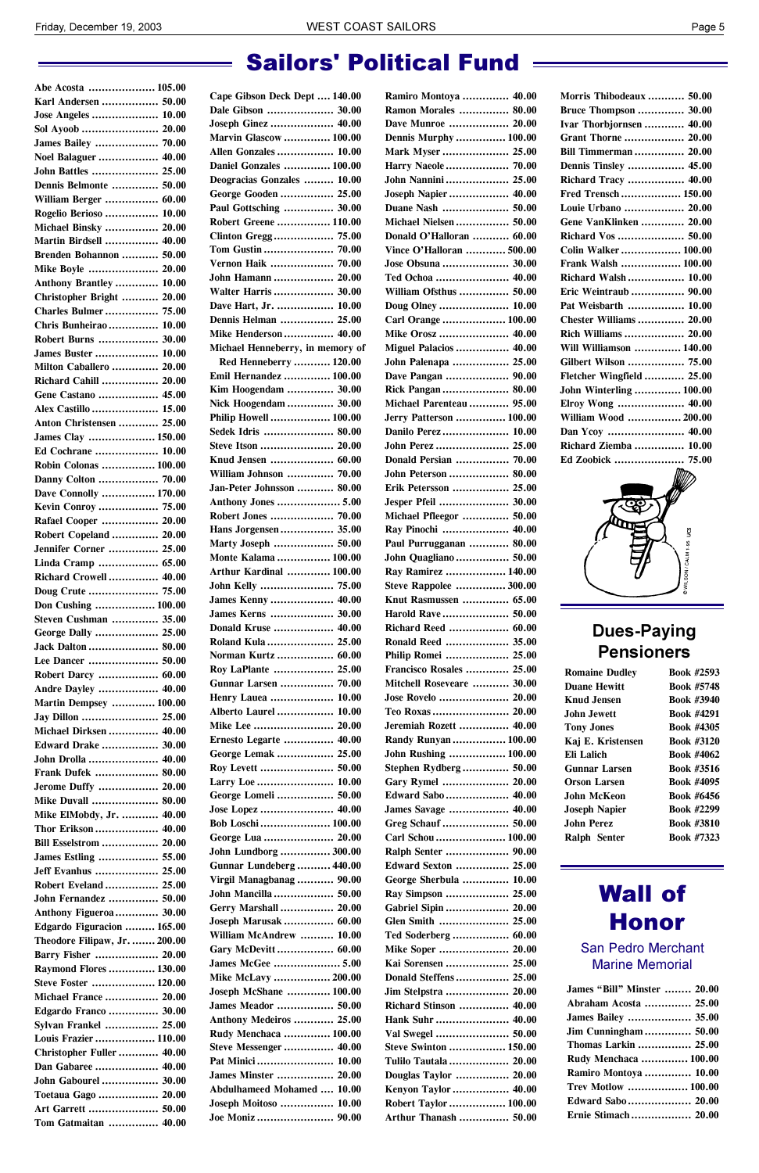# **Sailors' Political Fund**

| Abe Acosta  105.00                                                                                                                                            |  |
|---------------------------------------------------------------------------------------------------------------------------------------------------------------|--|
| Karl Andersen  50.00                                                                                                                                          |  |
| Jose Angeles  10.00                                                                                                                                           |  |
| <b>James Bailey  70.00</b>                                                                                                                                    |  |
| Noel Balaguer  40.00                                                                                                                                          |  |
| <b>John Battles  25.00</b>                                                                                                                                    |  |
| <b>Dennis Belmonte  50.00</b>                                                                                                                                 |  |
| <b>William Berger  60.00</b>                                                                                                                                  |  |
| Rogelio Berioso  10.00                                                                                                                                        |  |
| <b>Michael Binsky  20.00</b>                                                                                                                                  |  |
| <b>Martin Birdsell  40.00</b>                                                                                                                                 |  |
| Brenden Bohannon  50.00                                                                                                                                       |  |
| Mike Boyle  20.00                                                                                                                                             |  |
| <b>Anthony Brantley  10.00</b>                                                                                                                                |  |
| Christopher Bright  20.00                                                                                                                                     |  |
| <b>Charles Bulmer  75.00</b>                                                                                                                                  |  |
| <b>Chris Bunheirao  10.00</b><br>Robert Burns  30.00                                                                                                          |  |
| <b>James Buster  10.00</b>                                                                                                                                    |  |
| Milton Caballero  20.00                                                                                                                                       |  |
| Richard Cahill  20.00                                                                                                                                         |  |
| Gene Castano  45.00                                                                                                                                           |  |
| Alex Castillo  15.00                                                                                                                                          |  |
| Anton Christensen  25.00                                                                                                                                      |  |
| James Clay  150.00                                                                                                                                            |  |
| Ed Cochrane  10.00                                                                                                                                            |  |
| Robin Colonas  100.00                                                                                                                                         |  |
| Danny Colton  70.00                                                                                                                                           |  |
| Dave Connolly  170.00                                                                                                                                         |  |
| Kevin Conroy  75.00                                                                                                                                           |  |
| Rafael Cooper  20.00                                                                                                                                          |  |
| <b>Robert Copeland  20.00</b><br><b>Jennifer Corner  25.00</b>                                                                                                |  |
| Linda Cramp  65.00                                                                                                                                            |  |
| <b>Richard Crowell  40.00</b>                                                                                                                                 |  |
| Doug Crute  75.00                                                                                                                                             |  |
| Don Cushing  100.00                                                                                                                                           |  |
| <b>Steven Cushman  35.00</b>                                                                                                                                  |  |
| George Dally  25.00                                                                                                                                           |  |
| <b>Jack Dalton  80.00</b>                                                                                                                                     |  |
| Lee Dancer  50.00                                                                                                                                             |  |
| <b>Robert Darcy  60.00</b><br>Andre Dayley  40.00                                                                                                             |  |
| <b>Martin Dempsey  100.00</b>                                                                                                                                 |  |
| Jay Dillon  25.00                                                                                                                                             |  |
| <b>Michael Dirksen  40.00</b>                                                                                                                                 |  |
| <b>Edward Drake  30.00</b>                                                                                                                                    |  |
| John Drolla  40.00                                                                                                                                            |  |
| Frank Dufek  80.00                                                                                                                                            |  |
| Jerome Duffy  20.00                                                                                                                                           |  |
| <b>Mike Duvall  80.00</b>                                                                                                                                     |  |
| Mike ElMobdy, Jr.  40.00<br>Thor Erikson 40.00                                                                                                                |  |
| <b>Bill Esselstrom  20.00</b>                                                                                                                                 |  |
| <b>James Estling  55.00</b>                                                                                                                                   |  |
| <b>Jeff Evanhus  25.00</b>                                                                                                                                    |  |
| Robert Eveland 25.00                                                                                                                                          |  |
| <b>John Fernandez  50.00</b>                                                                                                                                  |  |
| Anthony Figueroa 30.00                                                                                                                                        |  |
| Edgardo Figuracion  165.00                                                                                                                                    |  |
|                                                                                                                                                               |  |
| Theodore Filipaw, Jr.  200.00                                                                                                                                 |  |
|                                                                                                                                                               |  |
|                                                                                                                                                               |  |
|                                                                                                                                                               |  |
|                                                                                                                                                               |  |
| Barry Fisher  20.00<br><b>Raymond Flores  130.00</b><br>Steve Foster  120.00<br><b>Michael France  20.00</b><br><b>Edgardo Franco  30.00</b>                  |  |
|                                                                                                                                                               |  |
|                                                                                                                                                               |  |
|                                                                                                                                                               |  |
|                                                                                                                                                               |  |
| <b>Sylvan Frankel  25.00</b><br>Louis Frazier 110.00<br>Christopher Fuller  40.00<br>Dan Gabaree  40.00<br><b>John Gabourel  30.00</b><br>Toetaua Gago  20.00 |  |
| Art Garrett  50.00<br>Tom Gatmaitan  40.00                                                                                                                    |  |

| Cape Gibson Deck Dept  140.00    |
|----------------------------------|
| Dale Gibson  30.00               |
| <b>Joseph Ginez  40.00</b>       |
| <b>Marvin Glascow  100.00</b>    |
| <b>Allen Gonzales  10.00</b>     |
| Daniel Gonzales  100.00          |
| Deogracias Gonzales  10.00       |
| George Gooden  25.00             |
| Paul Gottsching  30.00           |
| <b>Robert Greene  110.00</b>     |
|                                  |
| <b>Clinton Gregg 75.00</b>       |
|                                  |
| Vernon Haik  70.00               |
| John Hamann  20.00               |
| <b>Walter Harris  30.00</b>      |
| Dave Hart, Jr.  10.00            |
| Dennis Helman  25.00             |
| <b>Mike Henderson  40.00</b>     |
| Michael Henneberry, in memory of |
| Red Henneberry  120.00           |
| <b>Emil Hernandez  100.00</b>    |
| Kim Hoogendam  30.00             |
| Nick Hoogendam  30.00            |
| Philip Howell  100.00            |
| Sedek Idris  80.00               |
| <b>Steve Itson  20.00</b>        |
| Knud Jensen  60.00               |
| <b>William Johnson  70.00</b>    |
| Jan-Peter Johnsson  80.00        |
|                                  |
| <b>Anthony Jones  5.00</b>       |
| <b>Robert Jones  70.00</b>       |
| Hans Jorgensen  35.00            |
| Marty Joseph  50.00              |
| Monte Kalama  100.00             |
| <b>Arthur Kardinal  100.00</b>   |
| John Kelly  75.00                |
| <b>James Kenny  40.00</b>        |
| <b>James Kerns  30.00</b>        |
| Donald Kruse  40.00              |
| Roland Kula  25.00               |
| Norman Kurtz  60.00              |
| Roy LaPlante  25.00              |
| <b>Gunnar Larsen  70.00</b>      |
| Henry Lauea  10.00               |
| <b>Alberto Laurel  10.00</b>     |
| Mike Lee  20.00                  |
| Ernesto Legarte  40.00           |
| George Lemak  25.00              |
| Roy Levett  50.00                |
|                                  |
| Larry Loe  10.00                 |
| George Lomeli  50.00             |
|                                  |
| Bob Loschi 100.00                |
| George Lua  20.00                |
| John Lundborg  300.00            |

| Ramiro Montoya  40.00           |  |
|---------------------------------|--|
| Ramon Morales  80.00            |  |
| Dave Munroe  20.00              |  |
| Dennis Murphy  100.00           |  |
| Mark Myser  25.00               |  |
| Harry Naeole  70.00             |  |
| John Nannini  25.00             |  |
| <b>Joseph Napier  40.00</b>     |  |
| Duane Nash  50.00               |  |
| <b>Michael Nielsen  50.00</b>   |  |
| Donald O'Halloran  60.00        |  |
| Vince O'Halloran  500.00        |  |
|                                 |  |
| Ted Ochoa  40.00                |  |
| <b>William Ofsthus  50.00</b>   |  |
|                                 |  |
| Carl Orange  100.00             |  |
| Mike Orosz  40.00               |  |
| Miguel Palacios  40.00          |  |
| John Palenapa  25.00            |  |
| Dave Pangan  90.00              |  |
|                                 |  |
| Michael Parenteau  95.00        |  |
|                                 |  |
| <b>Jerry Patterson  100.00</b>  |  |
| Danilo Perez 10.00              |  |
| John Perez  25.00               |  |
| Donald Persian  70.00           |  |
| <b>John Peterson  80.00</b>     |  |
| Erik Petersson  25.00           |  |
| Jesper Pfeil  30.00             |  |
| Michael Pfleegor  50.00         |  |
| Ray Pinochi  40.00              |  |
| Paul Purrugganan  80.00         |  |
| John Quagliano 50.00            |  |
| Ray Ramirez  140.00             |  |
| <b>Steve Rappolee  300.00</b>   |  |
| Knut Rasmussen  65.00           |  |
| Harold Rave 50.00               |  |
| Richard Reed  60.00             |  |
| Ronald Reed  35.00              |  |
| Philip Romei  25.00             |  |
| <b>Francisco Rosales  25.00</b> |  |
| Mitchell Roseveare  30.00       |  |
| Jose Rovelo  20.00              |  |
| Teo Roxas  20.00                |  |
| Jeremiah Rozett  40.00          |  |
| Randy Runyan  100.00            |  |
| <b>John Rushing  100.00</b>     |  |
| <b>Stephen Rydberg 50.00</b>    |  |
| Gary Rymel  20.00               |  |
| <b>Edward Sabo 40.00</b>        |  |
| James Savage  40.00             |  |
| Greg Schauf  50.00              |  |
|                                 |  |
| Carl Schou  100.00              |  |

| Morris Thibodeaux  50.00       |
|--------------------------------|
| <b>Bruce Thompson  30.00</b>   |
| Ivar Thorbjornsen  40.00       |
| <b>Grant Thorne  20.00</b>     |
| <b>Bill Timmerman  20.00</b>   |
| Dennis Tinsley  45.00          |
| Richard Tracy  40.00           |
| Fred Trensch  150.00           |
| Louie Urbano  20.00            |
| Gene VanKlinken  20.00         |
| Richard Vos  50.00             |
| <b>Colin Walker  100.00</b>    |
| Frank Walsh  100.00            |
| Richard Walsh  10.00           |
| Eric Weintraub  90.00          |
| Pat Weisbarth  10.00           |
| <b>Chester Williams  20.00</b> |
| Rich Williams  20.00           |
| Will Williamson  140.00        |
| <b>Gilbert Wilson  75.00</b>   |
| Fletcher Wingfield  25.00      |
| John Winterling  100.00        |
| Elroy Wong  40.00              |
| William Wood  200.00           |
|                                |
| Richard Ziemba  10.00          |
| Ed Zoobick  75.00              |



## **Dues-Paying Pensioners**

| <b>Book #2593</b> |
|-------------------|
| <b>Book #5748</b> |
| <b>Book #3940</b> |
| <b>Book #4291</b> |
| <b>Book #4305</b> |
| <b>Book #3120</b> |
| <b>Book #4062</b> |
| <b>Book #3516</b> |
| <b>Book #4095</b> |
| <b>Book #6456</b> |
| <b>Book #2299</b> |
| <b>Book #3810</b> |
| <b>Book #7323</b> |
|                   |

**Gunnar Lundeberg ......... 440.00** Virgil Managbanag ........... 90.00 John Mancilla .................... 50.00 **Gerry Marshall ................ 20.00** Joseph Marusak ............... 60.00 William McAndrew .......... 10.00 Gary McDevitt .................. 60.00 James McGee ..................... 5.00 Mike McLavy ................. 200.00 Joseph McShane ............. 100.00 James Meador ................. 50.00 Anthony Medeiros ............ 25.00 Rudy Menchaca .............. 100.00 Steve Messenger ............... 40.00 Pat Minici ......................... 10.00 **James Minster ................. 20.00** Abdulhameed Mohamed .... 10.00 Joseph Moitoso ................. 10.00 

**Edward Sexton ................ 25.00** George Sherbula .............. 10.00 Ray Simpson .................... 25.00 Gabriel Sipin .................... 20.00 Glen Smith ..................... 25.00 Ted Soderberg ................. 60.00 Mike Soper ...................... 20.00 Kai Sorensen .................... 25.00 Donald Steffens................. 25.00 Jim Stelpstra .................... 20.00 **Richard Stinson ............... 40.00** Val Swegel ........................ 50.00 **Steve Swinton ................. 150.00** Tulilo Tautala.................. 20.00 Douglas Taylor ................ 20.00 Kenyon Taylor .................. 40.00 Robert Taylor ................. 100.00 Arthur Thanash ............... 50.00

Ralph Senter .................... 90.00

# **Wall of Honor**

#### **San Pedro Merchant Marine Memorial**

| <b>James "Bill" Minster  20.00</b> |  |
|------------------------------------|--|
| Abraham Acosta  25.00              |  |
| <b>James Bailey  35.00</b>         |  |
| Jim Cunningham  50.00              |  |
| Thomas Larkin  25.00               |  |
| Rudy Menchaca  100.00              |  |
| Ramiro Montoya  10.00              |  |
| Trev Motlow  100.00                |  |
| <b>Edward Sabo 20.00</b>           |  |
| Ernie Stimach  20.00               |  |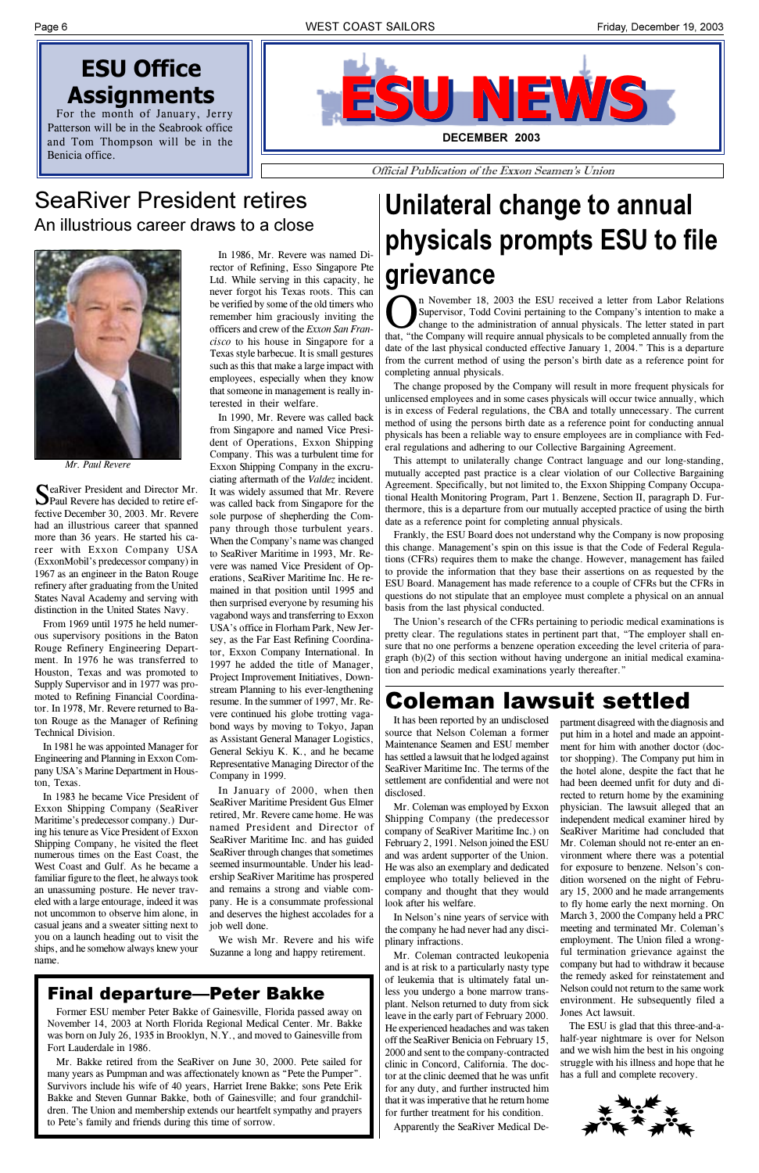# **ESU Office Assignments**

For the month of January, Jerry Patterson will be in the Seabrook office and Tom Thompson will be in the Benicia office.



Official Publication of the Exxon Seamen's Union

# **SeaRiver President retires** An illustrious career draws to a close



Mr. Paul Revere

SeaRiver President and Director Mr.<br>Paul Revere has decided to retire effective December 30, 2003. Mr. Revere had an illustrious career that spanned more than 36 years. He started his career with Exxon Company USA (ExxonMobil's predecessor company) in 1967 as an engineer in the Baton Rouge refinery after graduating from the United States Naval Academy and serving with distinction in the United States Navy.

From 1969 until 1975 he held numerous supervisory positions in the Baton Rouge Refinery Engineering Department. In 1976 he was transferred to Houston, Texas and was promoted to Supply Supervisor and in 1977 was promoted to Refining Financial Coordinator. In 1978, Mr. Revere returned to Baton Rouge as the Manager of Refining Technical Division.

In 1981 he was appointed Manager for Engineering and Planning in Exxon Company USA's Marine Department in Houston, Texas.

In 1983 he became Vice President of Exxon Shipping Company (SeaRiver Maritime's predecessor company.) During his tenure as Vice President of Exxon Shipping Company, he visited the fleet numerous times on the East Coast, the West Coast and Gulf. As he became a familiar figure to the fleet, he always took an unassuming posture. He never traveled with a large entourage, indeed it was not uncommon to observe him alone, in casual jeans and a sweater sitting next to you on a launch heading out to visit the ships, and he somehow always knew your name.

In 1986, Mr. Revere was named Director of Refining, Esso Singapore Pte Ltd. While serving in this capacity, he never forgot his Texas roots. This can be verified by some of the old timers who remember him graciously inviting the officers and crew of the *Exxon San Francisco* to his house in Singapore for a Texas style barbecue. It is small gestures such as this that make a large impact with employees, especially when they know that someone in management is really interested in their welfare.

In 1990, Mr. Revere was called back from Singapore and named Vice President of Operations, Exxon Shipping Company. This was a turbulent time for Exxon Shipping Company in the excruciating aftermath of the *Valdez* incident. It was widely assumed that Mr. Revere was called back from Singapore for the sole purpose of shepherding the Company through those turbulent years. When the Company's name was changed to SeaRiver Maritime in 1993, Mr. Revere was named Vice President of Operations, SeaRiver Maritime Inc. He remained in that position until 1995 and then surprised everyone by resuming his vagabond ways and transferring to Exxon USA's office in Florham Park, New Jersey, as the Far East Refining Coordinator, Exxon Company International. In 1997 he added the title of Manager, Project Improvement Initiatives, Downstream Planning to his ever-lengthening resume. In the summer of 1997, Mr. Revere continued his globe trotting vagabond ways by moving to Tokyo, Japan as Assistant General Manager Logistics, General Sekiyu K. K., and he became Representative Managing Director of the Company in 1999.

In January of 2000, when then **SeaRiver Maritime President Gus Elmer** retired, Mr. Revere came home. He was named President and Director of SeaRiver Maritime Inc. and has guided SeaRiver through changes that sometimes seemed insurmountable. Under his leadership SeaRiver Maritime has prospered and remains a strong and viable company. He is a consummate professional and deserves the highest accolades for a job well done.

# Unilateral change to annual physicals prompts ESU to file grievance

n November 18, 2003 the ESU received a letter from Labor Relations Supervisor, Todd Covini pertaining to the Company's intention to make a change to the administration of annual physicals. The letter stated in part that, "the Company will require annual physicals to be completed annually from the date of the last physical conducted effective January 1, 2004." This is a departure from the current method of using the person's birth date as a reference point for completing annual physicals.

The change proposed by the Company will result in more frequent physicals for unlicensed employees and in some cases physicals will occur twice annually, which is in excess of Federal regulations, the CBA and totally unnecessary. The current method of using the persons birth date as a reference point for conducting annual physicals has been a reliable way to ensure employees are in compliance with Federal regulations and adhering to our Collective Bargaining Agreement.

This attempt to unilaterally change Contract language and our long-standing, mutually accepted past practice is a clear violation of our Collective Bargaining Agreement. Specifically, but not limited to, the Exxon Shipping Company Occupational Health Monitoring Program, Part 1. Benzene, Section II, paragraph D. Furthermore, this is a departure from our mutually accepted practice of using the birth date as a reference point for completing annual physicals.

Frankly, the ESU Board does not understand why the Company is now proposing this change. Management's spin on this issue is that the Code of Federal Regulations (CFRs) requires them to make the change. However, management has failed to provide the information that they base their assertions on as requested by the ESU Board. Management has made reference to a couple of CFRs but the CFRs in questions do not stipulate that an employee must complete a physical on an annual basis from the last physical conducted.

The Union's research of the CFRs pertaining to periodic medical examinations is pretty clear. The regulations states in pertinent part that, "The employer shall ensure that no one performs a benzene operation exceeding the level criteria of para $graph (b)(2)$  of this section without having undergone an initial medical examination and periodic medical examinations yearly thereafter."

# **Coleman lawsuit settled**

It has been reported by an undisclosed source that Nelson Coleman a former Maintenance Seamen and ESU member has settled a lawsuit that he lodged against SeaRiver Maritime Inc. The terms of the settlement are confidential and were not disclosed.

Mr. Coleman was employed by Exxon Shipping Company (the predecessor company of SeaRiver Maritime Inc.) on February 2, 1991. Nelson joined the ESU and was ardent supporter of the Union. He was also an exemplary and dedicated employee who totally believed in the company and thought that they would look after his welfare.

partment disagreed with the diagnosis and put him in a hotel and made an appointment for him with another doctor (doctor shopping). The Company put him in the hotel alone, despite the fact that he had been deemed unfit for duty and directed to return home by the examining physician. The lawsuit alleged that an independent medical examiner hired by SeaRiver Maritime had concluded that Mr. Coleman should not re-enter an environment where there was a potential for exposure to benzene. Nelson's condition worsened on the night of February 15, 2000 and he made arrangements to fly home early the next morning. On March 3, 2000 the Company held a PRC meeting and terminated Mr. Coleman's employment. The Union filed a wrongful termination grievance against the company but had to withdraw it because the remedy asked for reinstatement and Nelson could not return to the same work environment. He subsequently filed a Jones Act lawsuit. The ESU is glad that this three-and-ahalf-year nightmare is over for Nelson and we wish him the best in his ongoing struggle with his illness and hope that he has a full and complete recovery.

We wish Mr. Revere and his wife Suzanne a long and happy retirement.

## **Final departure-Peter Bakke**

Former ESU member Peter Bakke of Gainesville, Florida passed away on November 14, 2003 at North Florida Regional Medical Center. Mr. Bakke was born on July 26, 1935 in Brooklyn, N.Y., and moved to Gainesville from Fort Lauderdale in 1986.

Mr. Bakke retired from the SeaRiver on June 30, 2000. Pete sailed for many years as Pumpman and was affectionately known as "Pete the Pumper". Survivors include his wife of 40 years, Harriet Irene Bakke; sons Pete Erik Bakke and Steven Gunnar Bakke, both of Gainesville; and four grandchildren. The Union and membership extends our heartfelt sympathy and prayers to Pete's family and friends during this time of sorrow.

In Nelson's nine years of service with the company he had never had any disciplinary infractions.

Mr. Coleman contracted leukopenia and is at risk to a particularly nasty type of leukemia that is ultimately fatal unless you undergo a bone marrow transplant. Nelson returned to duty from sick leave in the early part of February 2000. He experienced headaches and was taken off the SeaRiver Benicia on February 15, 2000 and sent to the company-contracted clinic in Concord, California. The doctor at the clinic deemed that he was unfit for any duty, and further instructed him that it was imperative that he return home for further treatment for his condition. Apparently the SeaRiver Medical De-

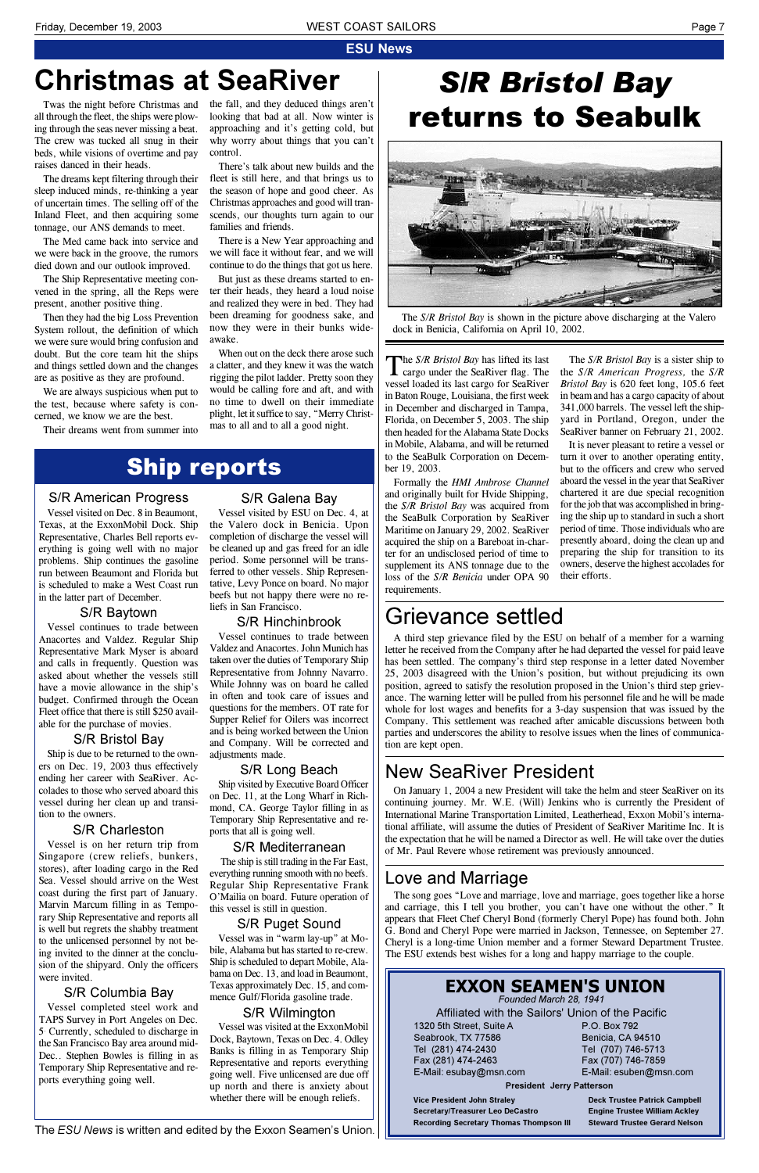#### **ESU News**

# **Christmas at SeaRiver**

Twas the night before Christmas and all through the fleet, the ships were plowing through the seas never missing a beat. The crew was tucked all snug in their beds, while visions of overtime and pay raises danced in their heads.

The dreams kept filtering through their sleep induced minds, re-thinking a year of uncertain times. The selling off of the Inland Fleet, and then acquiring some tonnage, our ANS demands to meet.

The Med came back into service and we were back in the groove, the rumors died down and our outlook improved.

The Ship Representative meeting convened in the spring, all the Reps were present, another positive thing.

Then they had the big Loss Prevention System rollout, the definition of which we were sure would bring confusion and doubt. But the core team hit the ships and things settled down and the changes are as positive as they are profound.

We are always suspicious when put to the test, because where safety is concerned, we know we are the best.

Their dreams went from summer into

the fall, and they deduced things aren't looking that bad at all. Now winter is approaching and it's getting cold, but why worry about things that you can't control.

There's talk about new builds and the fleet is still here, and that brings us to the season of hope and good cheer. As Christmas approaches and good will transcends, our thoughts turn again to our families and friends.

There is a New Year approaching and we will face it without fear, and we will continue to do the things that got us here.

But just as these dreams started to enter their heads, they heard a loud noise and realized they were in bed. They had been dreaming for goodness sake, and now they were in their bunks wideawake.

When out on the deck there arose such a clatter, and they knew it was the watch rigging the pilot ladder. Pretty soon they would be calling fore and aft, and with no time to dwell on their immediate plight, let it suffice to say, "Merry Christmas to all and to all a good night.

# **Ship reports**

#### **S/R American Progress**

Vessel visited on Dec. 8 in Beaumont, Texas, at the ExxonMobil Dock. Ship Representative, Charles Bell reports everything is going well with no major problems. Ship continues the gasoline run between Beaumont and Florida but is scheduled to make a West Coast run in the latter part of December.

#### S/R Baytown

Vessel continues to trade between Anacortes and Valdez. Regular Ship Representative Mark Myser is aboard and calls in frequently. Question was asked about whether the vessels still have a movie allowance in the ship's budget. Confirmed through the Ocean Fleet office that there is still \$250 available for the purchase of movies.

#### S/R Bristol Bay

Ship is due to be returned to the owners on Dec. 19, 2003 thus effectively ending her career with SeaRiver. Accolades to those who served aboard this vessel during her clean up and transition to the owners.

#### S/R Charleston

Vessel is on her return trip from Singapore (crew reliefs, bunkers,

#### S/R Galena Bay

Vessel visited by ESU on Dec. 4. at the Valero dock in Benicia. Upon completion of discharge the vessel will be cleaned up and gas freed for an idle period. Some personnel will be transferred to other vessels. Ship Representative, Levy Ponce on board. No major beefs but not happy there were no reliefs in San Francisco.

#### **S/R Hinchinbrook**

Vessel continues to trade between Valdez and Anacortes. John Munich has taken over the duties of Temporary Ship Representative from Johnny Navarro. While Johnny was on board he called in often and took care of issues and questions for the members. OT rate for Supper Relief for Oilers was incorrect and is being worked between the Union and Company. Will be corrected and adjustments made.

#### S/R Long Beach

Ship visited by Executive Board Officer on Dec. 11, at the Long Wharf in Richmond, CA. George Taylor filling in as Temporary Ship Representative and reports that all is going well.

S/R Mediterranean The ship is still trading in the Far East, everything running smooth with no beefs. Regular Ship Representative Frank O'Mailia on board. Future operation of this vessel is still in question.

# **SIR Bristol Bay** returns to Seabulk



The S/R Bristol Bay is shown in the picture above discharging at the Valero dock in Benicia, California on April 10, 2002.

The  $S/R$  Bristol Bay has lifted its last **L** cargo under the SeaRiver flag. The vessel loaded its last cargo for SeaRiver in Baton Rouge, Louisiana, the first week in December and discharged in Tampa, Florida, on December 5, 2003. The ship then headed for the Alabama State Docks in Mobile, Alabama, and will be returned to the SeaBulk Corporation on December 19, 2003.

Formally the HMI Ambrose Channel and originally built for Hvide Shipping, the S/R Bristol Bay was acquired from the SeaBulk Corporation by SeaRiver Maritime on January 29, 2002. SeaRiver acquired the ship on a Bareboat in-charter for an undisclosed period of time to supplement its ANS tonnage due to the loss of the S/R Benicia under OPA 90 requirements.

#### The S/R Bristol Bay is a sister ship to the  $S/R$  American Progress, the  $S/R$ Bristol Bay is 620 feet long, 105.6 feet in beam and has a cargo capacity of about 341,000 barrels. The vessel left the shipyard in Portland, Oregon, under the SeaRiver banner on February 21, 2002.

It is never pleasant to retire a vessel or turn it over to another operating entity, but to the officers and crew who served aboard the vessel in the year that SeaRiver chartered it are due special recognition for the job that was accomplished in bringing the ship up to standard in such a short period of time. Those individuals who are presently aboard, doing the clean up and preparing the ship for transition to its owners, deserve the highest accolades for their efforts.

# **Grievance settled**

A third step grievance filed by the ESU on behalf of a member for a warning letter he received from the Company after he had departed the vessel for paid leave has been settled. The company's third step response in a letter dated November 25, 2003 disagreed with the Union's position, but without prejudicing its own position, agreed to satisfy the resolution proposed in the Union's third step grievance. The warning letter will be pulled from his personnel file and he will be made whole for lost wages and benefits for a 3-day suspension that was issued by the Company. This settlement was reached after amicable discussions between both parties and underscores the ability to resolve issues when the lines of communication are kept open.

## **New SeaRiver President**

On January 1, 2004 a new President will take the helm and steer SeaRiver on its continuing journey. Mr. W.E. (Will) Jenkins who is currently the President of International Marine Transportation Limited, Leatherhead, Exxon Mobil's international affiliate, will assume the duties of President of SeaRiver Maritime Inc. It is the expectation that he will be named a Director as well. He will take over the duties of Mr. Paul Revere whose retirement was previously announced.

stores), after loading cargo in the Red Sea. Vessel should arrive on the West coast during the first part of January. Marvin Marcum filling in as Temporary Ship Representative and reports all is well but regrets the shabby treatment to the unlicensed personnel by not being invited to the dinner at the conclusion of the shipyard. Only the officers were invited.

#### S/R Columbia Bay

Vessel completed steel work and TAPS Survey in Port Angeles on Dec. 5 Currently, scheduled to discharge in the San Francisco Bay area around mid-Dec.. Stephen Bowles is filling in as Temporary Ship Representative and reports everything going well.

#### S/R Puget Sound

Vessel was in "warm lay-up" at Mobile, Alabama but has started to re-crew. Ship is scheduled to depart Mobile, Alabama on Dec. 13, and load in Beaumont, Texas approximately Dec. 15, and commence Gulf/Florida gasoline trade.

#### S/R Wilmington

Vessel was visited at the ExxonMobil Dock, Baytown, Texas on Dec. 4. Odley Banks is filling in as Temporary Ship Representative and reports everything going well. Five unlicensed are due off up north and there is anxiety about whether there will be enough reliefs.

## **Love and Marriage**

The song goes "Love and marriage, love and marriage, goes together like a horse and carriage, this I tell you brother, you can't have one without the other." It appears that Fleet Chef Cheryl Bond (formerly Cheryl Pope) has found both. John G. Bond and Cheryl Pope were married in Jackson, Tennessee, on September 27. Cheryl is a long-time Union member and a former Steward Department Trustee. The ESU extends best wishes for a long and happy marriage to the couple.

## **EXXON SEAMEN'S UNION**

Founded March 28, 1941 Affiliated with the Sailors' Union of the Pacific 1320 5th Street, Suite A Seabrook, TX 77586 Tel (281) 474-2430 Fax (281) 474-2463 E-Mail: esubay@msn.com

P.O. Box 792 Benicia. CA 94510 Tel (707) 746-5713 Fax (707) 746-7859 E-Mail: esuben@msn.com

#### **President Jerry Patterson**

| Vice President John Straley             | <b>Deck</b> |
|-----------------------------------------|-------------|
| Secretary/Treasurer Leo DeCastro        | Engi        |
| Recording Secretary Thomas Thompson III | Stew        |

**Trustee Patrick Campbell** ne Trustee William Ackley ard Trustee Gerard Nelson

The ESU News is written and edited by the Exxon Seamen's Union.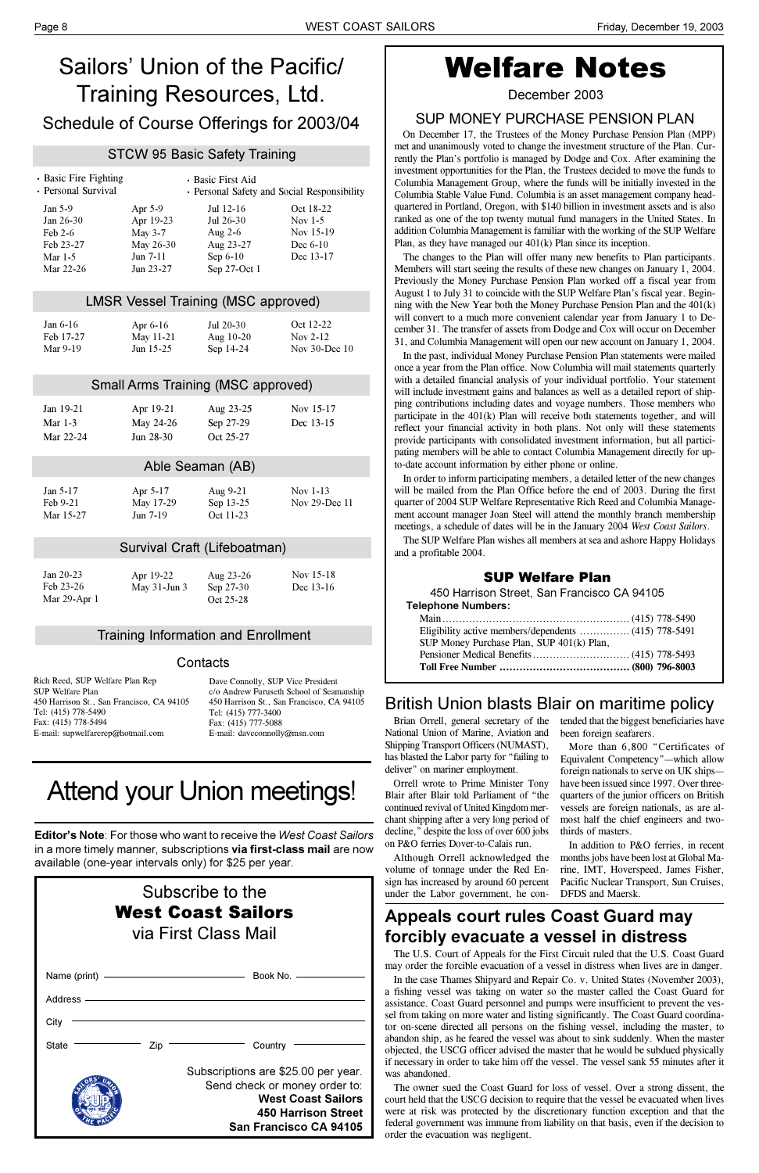# Sailors' Union of the Pacific/ **Training Resources, Ltd.** Schedule of Course Offerings for 2003/04

#### **STCW 95 Basic Safety Training**

| • Basic Fire Fighting<br>• Personal Survival |            | · Basic First Aid<br>• Personal Safety and Social Responsibility |            |
|----------------------------------------------|------------|------------------------------------------------------------------|------------|
| Jan $5-9$                                    | Apr $5-9$  | Jul 12-16                                                        | Oct 18-22  |
| Jan $26-30$                                  | Apr 19-23  | Jul 26-30                                                        | Nov $1-5$  |
| Feb $2-6$                                    | May $3-7$  | Aug $2-6$                                                        | Nov 15-19  |
| Feb 23-27                                    | May 26-30  | Aug 23-27                                                        | Dec $6-10$ |
| Mar $1-5$                                    | Jun $7-11$ | Sep $6-10$                                                       | Dec 13-17  |
| Mar 22-26                                    | Jun 23-27  | Sep 27-Oct 1                                                     |            |

#### LMSR Vessel Training (MSC approved)

| Jan $6-16$ | Apr $6-16$  | Jul $20-30$ | Oct 12-22          |
|------------|-------------|-------------|--------------------|
| Feb 17-27  | May 11-21   | Aug $10-20$ | Nov 2-12           |
| Mar 9-19   | Jun $15-25$ | Sep 14-24   | Nov $30$ -Dec $10$ |

#### **Small Arms Training (MSC approved)**

| Jan 19-21 | Apr 19-21   | Aug 23-25 | Nov 15-17 |
|-----------|-------------|-----------|-----------|
| Mar $1-3$ | May 24-26   | Sep 27-29 | Dec 13-15 |
| Mar 22-24 | Jun $28-30$ | Oct 25-27 |           |

#### Able Seaman (AB)

Jan 5-17 Feb 9-21 Mar 15-27 Aug 9-21 Sep 13-25 Oct 11-23

Nov 1-13

Nov 29-Dec 11

#### Survival Craft (Lifeboatman)

| Jan $20-23$    | Apr $19-22$       | Aug $23-26$ | Nov $15-18$ |
|----------------|-------------------|-------------|-------------|
| Feb 23-26      | May $31$ -Jun $3$ | Sep $27-30$ | Dec $13-16$ |
| Mar 29-Apr $1$ |                   | Oct 25-28   |             |

Apr 5-17

Jun 7-19

May 17-29

#### **Training Information and Enrollment**

#### Contacts

Rich Reed, SUP Welfare Plan Rep **SUP Welfare Plan** 450 Harrison St., San Francisco, CA 94105 Tel: (415) 778-5490 Fax: (415) 778-5494 E-mail: supwelfarerep@hotmail.com

Dave Connolly, SUP Vice President c/o Andrew Furuseth School of Seamanship 450 Harrison St., San Francisco, CA 94105 Tel: (415) 777-3400 Fax: (415) 777-5088 E-mail: daveconnolly@msn.com

# **Attend your Union meetings!**

**Editor's Note**: For those who want to receive the *West Coast Sailors* in a more timely manner, subscriptions via first-class mail are now

# **Welfare Notes**

December 2003

#### SUP MONEY PURCHASE PENSION PLAN

On December 17, the Trustees of the Money Purchase Pension Plan (MPP) met and unanimously voted to change the investment structure of the Plan. Currently the Plan's portfolio is managed by Dodge and Cox. After examining the investment opportunities for the Plan, the Trustees decided to move the funds to Columbia Management Group, where the funds will be initially invested in the Columbia Stable Value Fund. Columbia is an asset management company headquartered in Portland, Oregon, with \$140 billion in investment assets and is also ranked as one of the top twenty mutual fund managers in the United States. In addition Columbia Management is familiar with the working of the SUP Welfare Plan, as they have managed our  $401(k)$  Plan since its inception.

The changes to the Plan will offer many new benefits to Plan participants. Members will start seeing the results of these new changes on January 1, 2004. Previously the Money Purchase Pension Plan worked off a fiscal year from August 1 to July 31 to coincide with the SUP Welfare Plan's fiscal year. Beginning with the New Year both the Money Purchase Pension Plan and the  $401(k)$ will convert to a much more convenient calendar year from January 1 to December 31. The transfer of assets from Dodge and Cox will occur on December 31, and Columbia Management will open our new account on January 1, 2004.

In the past, individual Money Purchase Pension Plan statements were mailed once a year from the Plan office. Now Columbia will mail statements quarterly with a detailed financial analysis of your individual portfolio. Your statement will include investment gains and balances as well as a detailed report of shipping contributions including dates and voyage numbers. Those members who participate in the  $401(k)$  Plan will receive both statements together, and will reflect your financial activity in both plans. Not only will these statements provide participants with consolidated investment information, but all participating members will be able to contact Columbia Management directly for upto-date account information by either phone or online.

In order to inform participating members, a detailed letter of the new changes will be mailed from the Plan Office before the end of 2003. During the first quarter of 2004 SUP Welfare Representative Rich Reed and Columbia Management account manager Joan Steel will attend the monthly branch membership meetings, a schedule of dates will be in the January 2004 West Coast Sailors.

The SUP Welfare Plan wishes all members at sea and ashore Happy Holidays and a profitable 2004.

#### **SUP Welfare Plan**

450 Harrison Street, San Francisco CA 94105 **Telephone Numbers:** SUP Money Purchase Plan, SUP 401(k) Plan, 

## British Union blasts Blair on maritime policy

Brian Orrell, general secretary of the National Union of Marine, Aviation and Shipping Transport Officers (NUMAST), has blasted the Labor party for "failing to deliver" on mariner employment.

Orrell wrote to Prime Minister Tony Blair after Blair told Parliament of "the continued revival of United Kingdom merchant shipping after a very long period of decline," despite the loss of over 600 jobs on P&O ferries Dover-to-Calais run.

Although Orrell acknowledged the under the Labor government, he con- DFDS and Maersk.

tended that the biggest beneficiaries have been foreign seafarers.

More than 6,800 "Certificates of Equivalent Competency"—which allow foreign nationals to serve on UK ships have been issued since 1997. Over threequarters of the junior officers on British vessels are foreign nationals, as are almost half the chief engineers and twothirds of masters.

In addition to P&O ferries, in recent months jobs have been lost at Global Mavolume of tonnage under the Red En- rine, IMT, Hoverspeed, James Fisher, sign has increased by around 60 percent Pacific Nuclear Transport, Sun Cruises,

available (one-year intervals only) for \$25 per year.



## **Appeals court rules Coast Guard may** forcibly evacuate a vessel in distress

The U.S. Court of Appeals for the First Circuit ruled that the U.S. Coast Guard may order the forcible evacuation of a vessel in distress when lives are in danger.

In the case Thames Shipyard and Repair Co. v. United States (November 2003), a fishing vessel was taking on water so the master called the Coast Guard for assistance. Coast Guard personnel and pumps were insufficient to prevent the vessel from taking on more water and listing significantly. The Coast Guard coordinator on-scene directed all persons on the fishing vessel, including the master, to abandon ship, as he feared the vessel was about to sink suddenly. When the master objected, the USCG officer advised the master that he would be subdued physically if necessary in order to take him off the vessel. The vessel sank 55 minutes after it was abandoned.

The owner sued the Coast Guard for loss of vessel. Over a strong dissent, the court held that the USCG decision to require that the vessel be evacuated when lives were at risk was protected by the discretionary function exception and that the federal government was immune from liability on that basis, even if the decision to order the evacuation was negligent.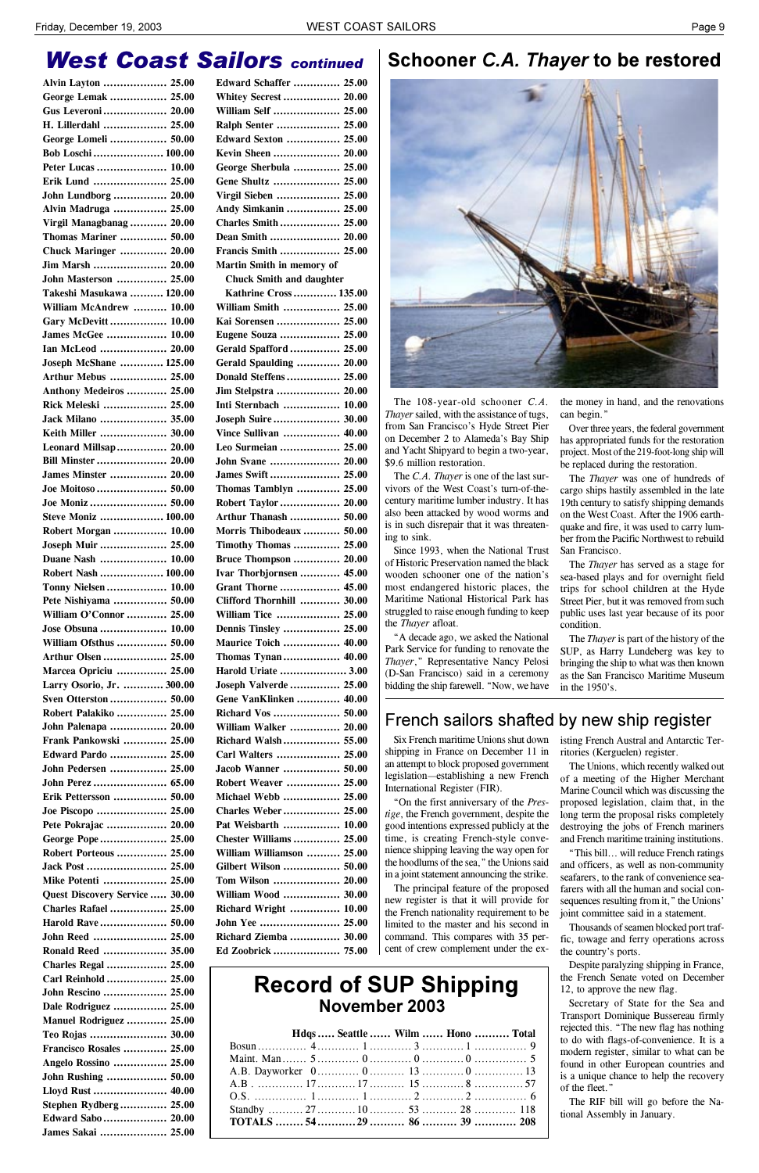# **West Coast Sailors continued**

| AIVIII Läytön  25.00          |  |
|-------------------------------|--|
| George Lemak  25.00           |  |
| Gus Leveroni 20.00            |  |
| H. Lillerdahl  25.00          |  |
| George Lomeli  50.00          |  |
| Bob Loschi  100.00            |  |
| Peter Lucas  10.00            |  |
| Erik Lund  25.00              |  |
| John Lundborg 20.00           |  |
| Alvin Madruga  25.00          |  |
| Virgil Managbanag  20.00      |  |
| Thomas Mariner  50.00         |  |
| <b>Chuck Maringer  20.00</b>  |  |
| Jim Marsh  20.00              |  |
| John Masterson  25.00         |  |
| Takeshi Masukawa  120.00      |  |
| William McAndrew  10.00       |  |
| <b>Gary McDevitt  10.00</b>   |  |
| James McGee  10.00            |  |
| Ian McLeod  20.00             |  |
|                               |  |
| Joseph McShane  125.00        |  |
| <b>Arthur Mebus  25.00</b>    |  |
| Anthony Medeiros  25.00       |  |
| Rick Meleski  25.00           |  |
| <b>Jack Milano  35.00</b>     |  |
| Keith Miller  30.00           |  |
| Leonard Millsap 20.00         |  |
| <b>Bill Minster  20.00</b>    |  |
| <b>James Minster  20.00</b>   |  |
| Joe Moitoso  50.00            |  |
| Joe Moniz  50.00              |  |
| <b>Steve Moniz  100.00</b>    |  |
| <b>Robert Morgan  10.00</b>   |  |
| Joseph Muir  25.00            |  |
| Duane Nash  10.00             |  |
| Robert Nash  100.00           |  |
| <b>Tonny Nielsen  10.00</b>   |  |
| Pete Nishiyama  50.00         |  |
| William O'Connor  25.00       |  |
| Jose Obsuna  10.00            |  |
| <b>William Ofsthus  50.00</b> |  |
| <b>Arthur Olsen  25.00</b>    |  |
| <b>Marcea Opriciu  25.00</b>  |  |
| Larry Osorio, Jr.  300.00     |  |
| <b>Sven Otterston  50.00</b>  |  |
| Robert Palakiko  25.00        |  |
| John Palenapa  20.00          |  |
| Frank Pankowski  25.00        |  |
| <b>Edward Pardo  25.00</b>    |  |
|                               |  |
| John Pedersen  25.00          |  |
|                               |  |
| Erik Pettersson  50.00        |  |
| Joe Piscopo  25.00            |  |
| Pete Pokrajac  20.00          |  |
| George Pope 25.00             |  |

| W nitey Secrest  20.00          |  |
|---------------------------------|--|
| William Self  25.00             |  |
| Ralph Senter  25.00             |  |
| <b>Edward Sexton  25.00</b>     |  |
| Kevin Sheen  20.00              |  |
| <b>George Sherbula  25.00</b>   |  |
| Gene Shultz  25.00              |  |
| Virgil Sieben  25.00            |  |
| Andy Simkanin  25.00            |  |
| <b>Charles Smith 25.00</b>      |  |
|                                 |  |
| <b>Francis Smith  25.00</b>     |  |
| Martin Smith in memory of       |  |
| <b>Chuck Smith and daughter</b> |  |
| <b>Kathrine Cross  135.00</b>   |  |
| <b>William Smith  25.00</b>     |  |
| Kai Sorensen  25.00             |  |
| Eugene Souza  25.00             |  |
| <b>Gerald Spafford  25.00</b>   |  |
| <b>Gerald Spaulding  20.00</b>  |  |
| <b>Donald Steffens 25.00</b>    |  |
| Jim Stelpstra  20.00            |  |
| Inti Sternbach  10.00           |  |
| <b>Joseph Suire 30.00</b>       |  |
| <b>Vince Sullivan  40.00</b>    |  |
| Leo Surmeian  25.00             |  |
| John Svane  20.00               |  |
|                                 |  |
| Thomas Tamblyn  25.00           |  |
| Robert Taylor  20.00            |  |
| <b>Arthur Thanash  50.00</b>    |  |
| Morris Thibodeaux  50.00        |  |
| <b>Timothy Thomas  25.00</b>    |  |
| <b>Bruce Thompson  20.00</b>    |  |
| Ivar Thorbjornsen  45.00        |  |
| <b>Grant Thorne  45.00</b>      |  |
| Clifford Thornhill  30.00       |  |
| <b>William Tice  25.00</b>      |  |
| <b>Dennis Tinsley  25.00</b>    |  |
| <b>Maurice Toich  40.00</b>     |  |
| Thomas Tynan  40.00             |  |
| Harold Uriate  3.00             |  |
| Joseph Valverde  25.00          |  |
| Gene VanKlinken  40.00          |  |
| Richard Vos  50.00              |  |
| <b>William Walker  20.00</b>    |  |
| Richard Walsh  55.00            |  |
| Carl Walters  25.00             |  |
| Jacob Wanner  50.00             |  |
| Robert Weaver  25.00            |  |
| Michael Webb  25.00             |  |
| <b>Charles Weber 25.00</b>      |  |
| Pat Weisbarth  10.00            |  |
| <b>Chester Williams  25.00</b>  |  |
|                                 |  |

**Edward Schaffer .............. 25.00** 

## **Schooner C.A. Thayer to be restored**



The 108-year-old schooner  $C.A$ . Thayer sailed, with the assistance of tugs, from San Francisco's Hyde Street Pier on December 2 to Alameda's Bay Ship and Yacht Shipyard to begin a two-year, \$9.6 million restoration.

The C.A. Thayer is one of the last survivors of the West Coast's turn-of-thecentury maritime lumber industry. It has also been attacked by wood worms and is in such disrepair that it was threatening to sink.

Since 1993, when the National Trust of Historic Preservation named the black wooden schooner one of the nation's most endangered historic places, the Maritime National Historical Park has struggled to raise enough funding to keep the *Thayer* afloat.

"A decade ago, we asked the National Park Service for funding to renovate the Thayer," Representative Nancy Pelosi (D-San Francisco) said in a ceremony bidding the ship farewell. "Now, we have

the money in hand, and the renovations can begin."

Over three years, the federal government has appropriated funds for the restoration project. Most of the 219-foot-long ship will be replaced during the restoration.

The *Thayer* was one of hundreds of cargo ships hastily assembled in the late 19th century to satisfy shipping demands on the West Coast. After the 1906 earthquake and fire, it was used to carry lumber from the Pacific Northwest to rebuild San Francisco.

The *Thayer* has served as a stage for sea-based plays and for overnight field trips for school children at the Hyde Street Pier, but it was removed from such public uses last year because of its poor condition.

The Thayer is part of the history of the SUP, as Harry Lundeberg was key to bringing the ship to what was then known as the San Francisco Maritime Museum in the 1950's.

## French sailors shafted by new ship register

Six French maritime Unions shut down shipping in France on December 11 in an attempt to block proposed government legislation—establishing a new French International Register (FIR).

"On the first anniversary of the *Prestige*, the French government, despite the good intentions expressed publicly at the time, is creating French-style convenience shipping leaving the way open for the hoodlums of the sea," the Unions said in a joint statement announcing the strike.

isting French Austral and Antarctic Territories (Kerguelen) register.

The Unions, which recently walked out of a meeting of the Higher Merchant Marine Council which was discussing the proposed legislation, claim that, in the long term the proposal risks completely destroying the jobs of French mariners and French maritime training institutions.

"This bill... will reduce French ratings and officers, as well as non-community seafarers, to the rank of convenience seafarers with all the human and social consequences resulting from it," the Unions' joint committee said in a statement.

| <b>Mike Potenti  25.00</b>     |
|--------------------------------|
| Quest Discovery Service  30.00 |
| <b>Charles Rafael  25.00</b>   |
| Harold Rave 50.00              |
| John Reed  25.00               |
| Ronald Reed  35.00             |
| <b>Charles Regal  25.00</b>    |
| Carl Reinhold  25.00           |
| John Rescino  25.00            |
| Dale Rodriguez  25.00          |
| Manuel Rodriguez  25.00        |
| Teo Rojas  30.00               |
| Francisco Rosales  25.00       |
| Angelo Rossino  25.00          |
| John Rushing  50.00            |
| Lloyd Rust  40.00              |
| Stephen Rydberg 25.00          |
| Edward Sabo 20.00              |
| James Sakai  25.00             |

**Robert Porteous ............... 25.00** 

| Gilbert Wilson  50.00        |  |
|------------------------------|--|
|                              |  |
| William Wood  30.00          |  |
| <b>Richard Wright  10.00</b> |  |
|                              |  |
| <b>Richard Ziemba  30.00</b> |  |
|                              |  |

William Williamson .......... 25.00

The principal feature of the proposed new register is that it will provide for the French nationality requirement to be limited to the master and his second in command. This compares with 35 percent of crew complement under the ex-

## **Record of SUP Shipping** November 2003

|  |  | Hdqs Seattle  Wilm  Hono  Total |
|--|--|---------------------------------|
|  |  |                                 |
|  |  |                                 |
|  |  |                                 |
|  |  |                                 |
|  |  |                                 |
|  |  |                                 |
|  |  | TOTALS  54  29  86  39  208     |

Thousands of seamen blocked port traffic, towage and ferry operations across the country's ports.

Despite paralyzing shipping in France, the French Senate voted on December 12, to approve the new flag.

Secretary of State for the Sea and Transport Dominique Bussereau firmly rejected this. "The new flag has nothing to do with flags-of-convenience. It is a modern register, similar to what can be found in other European countries and is a unique chance to help the recovery of the fleet."

The RIF bill will go before the National Assembly in January.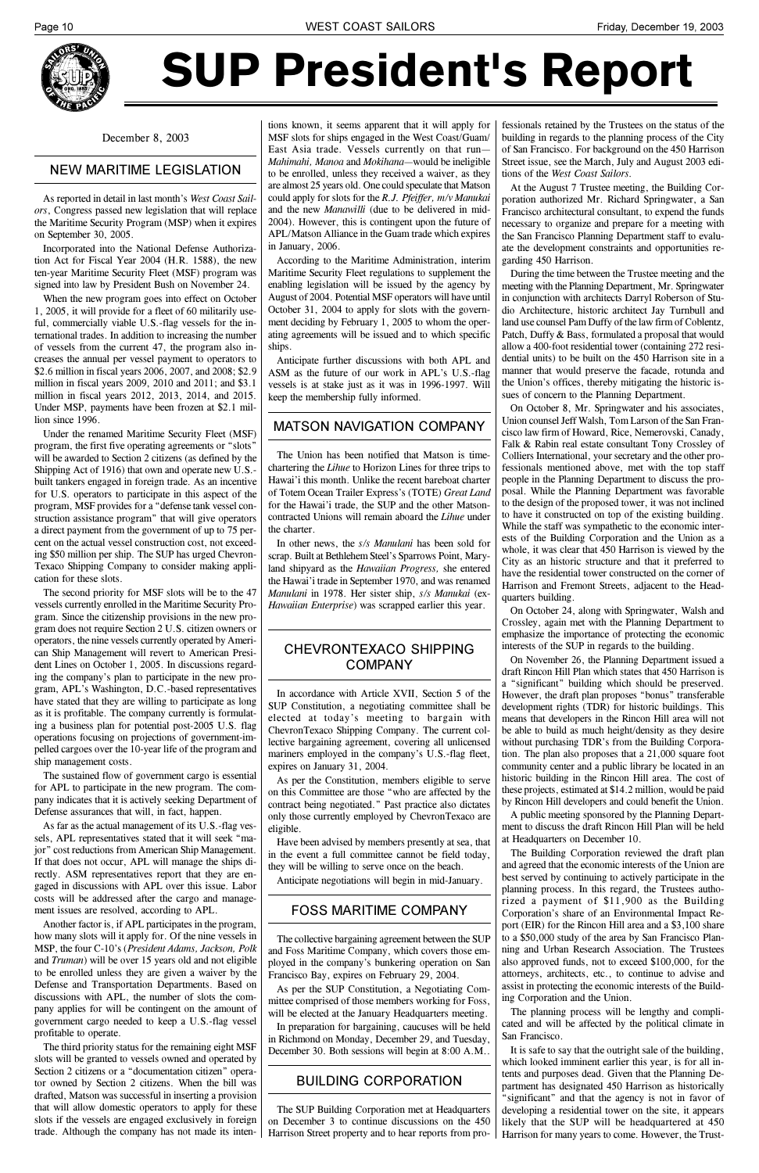



# **SUP President's Report**

December 8, 2003

#### **NEW MARITIME LEGISLATION**

As reported in detail in last month's West Coast Sailors, Congress passed new legislation that will replace the Maritime Security Program (MSP) when it expires on September 30, 2005.

Incorporated into the National Defense Authorization Act for Fiscal Year 2004 (H.R. 1588), the new ten-year Maritime Security Fleet (MSF) program was signed into law by President Bush on November 24.

When the new program goes into effect on October 1, 2005, it will provide for a fleet of 60 militarily useful, commercially viable U.S.-flag vessels for the international trades. In addition to increasing the number of vessels from the current 47, the program also increases the annual per vessel payment to operators to \$2.6 million in fiscal years 2006, 2007, and 2008; \$2.9 million in fiscal years 2009, 2010 and 2011; and \$3.1 million in fiscal years 2012, 2013, 2014, and 2015. Under MSP, payments have been frozen at \$2.1 million since 1996.

Under the renamed Maritime Security Fleet (MSF) program, the first five operating agreements or "slots" will be awarded to Section 2 citizens (as defined by the Shipping Act of 1916) that own and operate new U.S.built tankers engaged in foreign trade. As an incentive for U.S. operators to participate in this aspect of the program, MSF provides for a "defense tank vessel construction assistance program" that will give operators a direct payment from the government of up to 75 percent on the actual vessel construction cost, not exceeding \$50 million per ship. The SUP has urged Chevron-Texaco Shipping Company to consider making application for these slots.

The second priority for MSF slots will be to the 47 vessels currently enrolled in the Maritime Security Program. Since the citizenship provisions in the new program does not require Section 2 U.S. citizen owners or operators, the nine vessels currently operated by American Ship Management will revert to American President Lines on October 1, 2005. In discussions regarding the company's plan to participate in the new program, APL's Washington, D.C.-based representatives have stated that they are willing to participate as long as it is profitable. The company currently is formulating a business plan for potential post-2005 U.S. flag operations focusing on projections of government-impelled cargoes over the 10-year life of the program and ship management costs.

The sustained flow of government cargo is essential for APL to participate in the new program. The company indicates that it is actively seeking Department of Defense assurances that will, in fact, happen.

As far as the actual management of its U.S.-flag vessels, APL representatives stated that it will seek "major" cost reductions from American Ship Management. If that does not occur, APL will manage the ships directly. ASM representatives report that they are engaged in discussions with APL over this issue. Labor costs will be addressed after the cargo and management issues are resolved, according to APL. Another factor is, if APL participates in the program, how many slots will it apply for. Of the nine vessels in MSP, the four C-10's (President Adams, Jackson, Polk and *Truman*) will be over 15 years old and not eligible to be enrolled unless they are given a waiver by the Defense and Transportation Departments. Based on discussions with APL, the number of slots the company applies for will be contingent on the amount of government cargo needed to keep a U.S.-flag vessel profitable to operate. The third priority status for the remaining eight MSF slots will be granted to vessels owned and operated by Section 2 citizens or a "documentation citizen" operator owned by Section 2 citizens. When the bill was drafted, Matson was successful in inserting a provision that will allow domestic operators to apply for these slots if the vessels are engaged exclusively in foreign trade. Although the company has not made its inten-

tions known, it seems apparent that it will apply for MSF slots for ships engaged in the West Coast/Guam/ East Asia trade. Vessels currently on that run-Mahimahi, Manoa and Mokihana-would be ineligible to be enrolled, unless they received a waiver, as they are almost 25 years old. One could speculate that Matson could apply for slots for the  $R.J.$  Pfeiffer,  $m/v$  Manukai and the new *Manawilli* (due to be delivered in mid-2004). However, this is contingent upon the future of APL/Matson Alliance in the Guam trade which expires in January, 2006.

According to the Maritime Administration, interim Maritime Security Fleet regulations to supplement the enabling legislation will be issued by the agency by August of 2004. Potential MSF operators will have until October 31, 2004 to apply for slots with the government deciding by February 1, 2005 to whom the operating agreements will be issued and to which specific ships.

Anticipate further discussions with both APL and ASM as the future of our work in APL's U.S.-flag vessels is at stake just as it was in 1996-1997. Will keep the membership fully informed.

#### **MATSON NAVIGATION COMPANY**

The Union has been notified that Matson is timechartering the *Lihue* to Horizon Lines for three trips to Hawai'i this month. Unlike the recent bareboat charter of Totem Ocean Trailer Express's (TOTE) Great Land for the Hawai'i trade, the SUP and the other Matsoncontracted Unions will remain aboard the Lihue under the charter.

In other news, the s/s Manulani has been sold for scrap. Built at Bethlehem Steel's Sparrows Point, Maryland shipyard as the *Hawaiian Progress*, she entered the Hawai'i trade in September 1970, and was renamed Manulani in 1978. Her sister ship, s/s Manukai (ex-*Hawaiian Enterprise*) was scrapped earlier this year.

#### **CHEVRONTEXACO SHIPPING COMPANY**

In accordance with Article XVII, Section 5 of the SUP Constitution, a negotiating committee shall be elected at today's meeting to bargain with ChevronTexaco Shipping Company. The current collective bargaining agreement, covering all unlicensed mariners employed in the company's U.S.-flag fleet, expires on January 31, 2004.

As per the Constitution, members eligible to serve on this Committee are those "who are affected by the contract being negotiated." Past practice also dictates only those currently employed by ChevronTexaco are eligible.

Have been advised by members presently at sea, that in the event a full committee cannot be field today, they will be willing to serve once on the beach. Anticipate negotiations will begin in mid-January.

fessionals retained by the Trustees on the status of the building in regards to the planning process of the City of San Francisco. For background on the 450 Harrison Street issue, see the March, July and August 2003 editions of the West Coast Sailors.

At the August 7 Trustee meeting, the Building Corporation authorized Mr. Richard Springwater, a San Francisco architectural consultant, to expend the funds necessary to organize and prepare for a meeting with the San Francisco Planning Department staff to evaluate the development constraints and opportunities regarding 450 Harrison.

During the time between the Trustee meeting and the meeting with the Planning Department, Mr. Springwater in conjunction with architects Darryl Roberson of Studio Architecture, historic architect Jay Turnbull and land use counsel Pam Duffy of the law firm of Coblentz, Patch, Duffy & Bass, formulated a proposal that would allow a 400-foot residential tower (containing 272 residential units) to be built on the 450 Harrison site in a manner that would preserve the facade, rotunda and the Union's offices, thereby mitigating the historic issues of concern to the Planning Department.

On October 8, Mr. Springwater and his associates, Union counsel Jeff Walsh, Tom Larson of the San Francisco law firm of Howard, Rice, Nemerovski, Canady, Falk & Rabin real estate consultant Tony Crossley of Colliers International, your secretary and the other professionals mentioned above, met with the top staff people in the Planning Department to discuss the proposal. While the Planning Department was favorable to the design of the proposed tower, it was not inclined to have it constructed on top of the existing building. While the staff was sympathetic to the economic interests of the Building Corporation and the Union as a whole, it was clear that 450 Harrison is viewed by the City as an historic structure and that it preferred to have the residential tower constructed on the corner of Harrison and Fremont Streets, adjacent to the Headquarters building.

On October 24, along with Springwater, Walsh and Crossley, again met with the Planning Department to emphasize the importance of protecting the economic interests of the SUP in regards to the building.

On November 26, the Planning Department issued a draft Rincon Hill Plan which states that 450 Harrison is a "significant" building which should be preserved. However, the draft plan proposes "bonus" transferable development rights (TDR) for historic buildings. This means that developers in the Rincon Hill area will not be able to build as much height/density as they desire without purchasing TDR's from the Building Corporation. The plan also proposes that a 21,000 square foot community center and a public library be located in an historic building in the Rincon Hill area. The cost of these projects, estimated at \$14.2 million, would be paid by Rincon Hill developers and could benefit the Union.

A public meeting sponsored by the Planning Department to discuss the draft Rincon Hill Plan will be held at Headquarters on December 10.

The Building Corporation reviewed the draft plan and agreed that the economic interests of the Union are best served by continuing to actively participate in the planning process. In this regard, the Trustees authorized a payment of \$11,900 as the Building Corporation's share of an Environmental Impact Report (EIR) for the Rincon Hill area and a \$3,100 share to a \$50,000 study of the area by San Francisco Planning and Urban Research Association. The Trustees also approved funds, not to exceed \$100,000, for the attorneys, architects, etc., to continue to advise and assist in protecting the economic interests of the Building Corporation and the Union. The planning process will be lengthy and complicated and will be affected by the political climate in San Francisco. It is safe to say that the outright sale of the building, which looked imminent earlier this year, is for all intents and purposes dead. Given that the Planning Department has designated 450 Harrison as historically "significant" and that the agency is not in favor of developing a residential tower on the site, it appears likely that the SUP will be headquartered at 450 Harrison for many years to come. However, the Trust-

#### **FOSS MARITIME COMPANY**

The collective bargaining agreement between the SUP and Foss Maritime Company, which covers those employed in the company's bunkering operation on San Francisco Bay, expires on February 29, 2004.

As per the SUP Constitution, a Negotiating Committee comprised of those members working for Foss, will be elected at the January Headquarters meeting. In preparation for bargaining, caucuses will be held

in Richmond on Monday, December 29, and Tuesday, December 30. Both sessions will begin at 8:00 A.M..

#### **BUILDING CORPORATION**

The SUP Building Corporation met at Headquarters on December 3 to continue discussions on the 450 Harrison Street property and to hear reports from pro-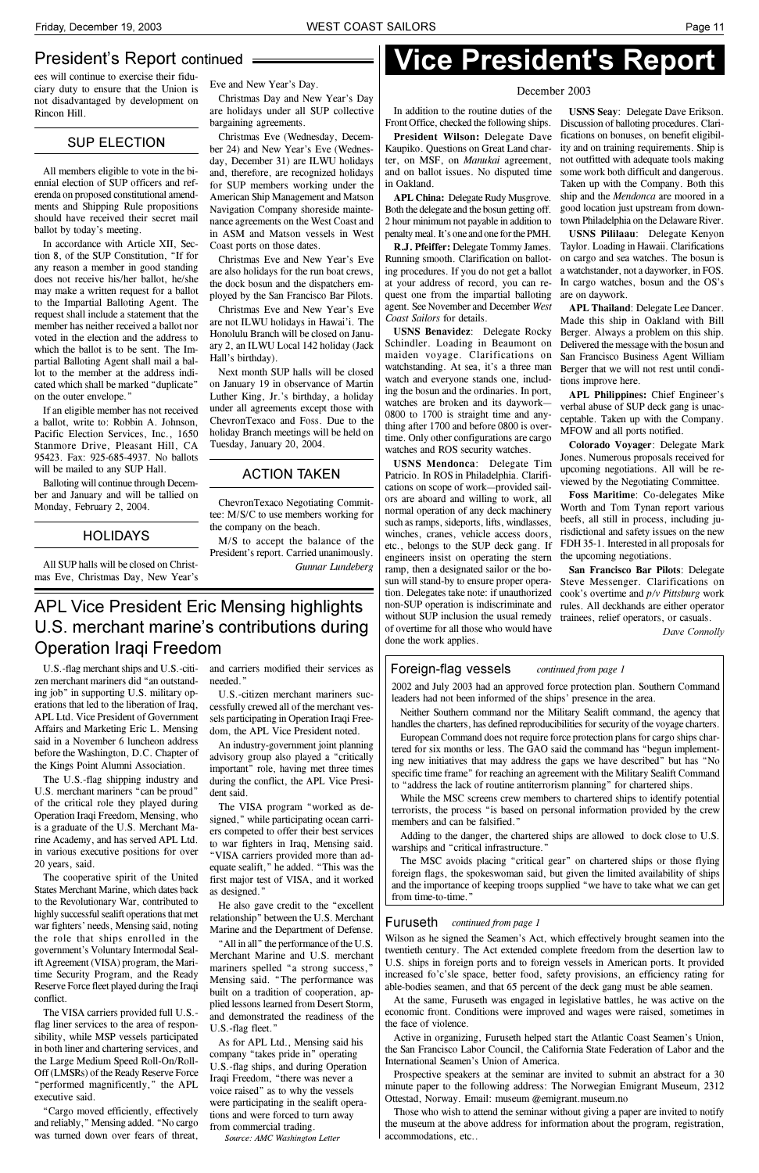## **President's Report continued**

ees will continue to exercise their fiduciary duty to ensure that the Union is not disadvantaged by development on Rincon Hill.

#### **SUP ELECTION**

All members eligible to vote in the biennial election of SUP officers and referenda on proposed constitutional amendments and Shipping Rule propositions should have received their secret mail ballot by today's meeting.

In accordance with Article XII, Section 8, of the SUP Constitution, "If for any reason a member in good standing does not receive his/her ballot, he/she may make a written request for a ballot to the Impartial Balloting Agent. The request shall include a statement that the member has neither received a ballot nor voted in the election and the address to which the ballot is to be sent. The Impartial Balloting Agent shall mail a ballot to the member at the address indicated which shall be marked "duplicate" on the outer envelope."

If an eligible member has not received a ballot, write to: Robbin A. Johnson, Pacific Election Services, Inc., 1650 Stanmore Drive, Pleasant Hill, CA 95423. Fax: 925-685-4937. No ballots will be mailed to any SUP Hall.

Balloting will continue through December and January and will be tallied on Monday, February 2, 2004.

#### **HOLIDAYS**

All SUP halls will be closed on Christmas Eve, Christmas Day, New Year's Eve and New Year's Day.

Christmas Day and New Year's Day are holidays under all SUP collective bargaining agreements.

Christmas Eve (Wednesday, December 24) and New Year's Eve (Wednesday, December 31) are ILWU holidays and, therefore, are recognized holidays for SUP members working under the American Ship Management and Matson Navigation Company shoreside maintenance agreements on the West Coast and in ASM and Matson vessels in West Coast ports on those dates.

Christmas Eve and New Year's Eve are also holidays for the run boat crews, the dock bosun and the dispatchers employed by the San Francisco Bar Pilots.

Christmas Eve and New Year's Eve are not ILWU holidays in Hawai'i. The Honolulu Branch will be closed on January 2, an ILWU Local 142 holiday (Jack Hall's birthday).

Next month SUP halls will be closed on January 19 in observance of Martin Luther King, Jr.'s birthday, a holiday under all agreements except those with ChevronTexaco and Foss. Due to the holiday Branch meetings will be held on Tuesday, January 20, 2004.

#### **ACTION TAKEN**

ChevronTexaco Negotiating Committee: M/S/C to use members working for the company on the beach.

M/S to accept the balance of the President's report. Carried unanimously. Gunnar Lundeberg

# **APL Vice President Eric Mensing highlights** U.S. merchant marine's contributions during **Operation Iragi Freedom**

U.S.-flag merchant ships and U.S.-citizen merchant mariners did "an outstanding job" in supporting U.S. military operations that led to the liberation of Iraq, APL Ltd. Vice President of Government Affairs and Marketing Eric L. Mensing said in a November 6 luncheon address before the Washington, D.C. Chapter of the Kings Point Alumni Association.

The U.S.-flag shipping industry and U.S. merchant mariners "can be proud" of the critical role they played during Operation Iraqi Freedom, Mensing, who is a graduate of the U.S. Merchant Marine Academy, and has served APL Ltd. in various executive positions for over 20 years, said.

and carriers modified their services as needed."

U.S.-citizen merchant mariners successfully crewed all of the merchant vessels participating in Operation Iraqi Freedom, the APL Vice President noted.

An industry-government joint planning advisory group also played a "critically important" role, having met three times during the conflict, the APL Vice President said.

The VISA program "worked as designed," while participating ocean carriers competed to offer their best services to war fighters in Iraq, Mensing said. "VISA carriers provided more than adequate sealift," he added. "This was the first major test of VISA, and it worked as designed."

# **Vice President's Report**

#### December 2003

In addition to the routine duties of the Front Office, checked the following ships.

President Wilson: Delegate Dave Kaupiko. Questions on Great Land charter, on MSF, on *Manukai* agreement, and on ballot issues. No disputed time in Oakland.

**APL China: Delegate Rudy Musgrove.** Both the delegate and the bosun getting off. 2 hour minimum not payable in addition to penalty meal. It's one and one for the PMH.

R.J. Pfeiffer: Delegate Tommy James. Running smooth. Clarification on balloting procedures. If you do not get a ballot at your address of record, you can request one from the impartial balloting agent. See November and December West Coast Sailors for details.

**USNS Benavidez:** Delegate Rocky Schindler. Loading in Beaumont on maiden voyage. Clarifications on watchstanding. At sea, it's a three man watch and everyone stands one, including the bosun and the ordinaries. In port, watches are broken and its daywork-0800 to 1700 is straight time and anything after 1700 and before 0800 is overtime. Only other configurations are cargo watches and ROS security watches.

**USNS Mendonca:** Delegate Tim Patricio. In ROS in Philadelphia. Clarifications on scope of work—provided sailors are aboard and willing to work, all normal operation of any deck machinery such as ramps, sideports, lifts, windlasses, winches, cranes, vehicle access doors, etc., belongs to the SUP deck gang. If engineers insist on operating the stern ramp, then a designated sailor or the bosun will stand-by to ensure proper operation. Delegates take note: if unauthorized non-SUP operation is indiscriminate and without SUP inclusion the usual remedy of overtime for all those who would have done the work applies.

**USNS Seay: Delegate Dave Erikson.** Discussion of balloting procedures. Clarifications on bonuses, on benefit eligibility and on training requirements. Ship is not outfitted with adequate tools making some work both difficult and dangerous. Taken up with the Company. Both this ship and the *Mendonca* are moored in a good location just upstream from downtown Philadelphia on the Delaware River.

**USNS Pililaau:** Delegate Kenyon Taylor. Loading in Hawaii. Clarifications on cargo and sea watches. The bosun is a watchstander, not a dayworker, in FOS. In cargo watches, bosun and the OS's are on daywork.

APL Thailand: Delegate Lee Dancer. Made this ship in Oakland with Bill Berger. Always a problem on this ship. Delivered the message with the bosun and San Francisco Business Agent William Berger that we will not rest until conditions improve here.

APL Philippines: Chief Engineer's verbal abuse of SUP deck gang is unacceptable. Taken up with the Company. MFOW and all ports notified.

Colorado Vovager: Delegate Mark Jones. Numerous proposals received for upcoming negotiations. All will be reviewed by the Negotiating Committee.

Foss Maritime: Co-delegates Mike Worth and Tom Tynan report various beefs, all still in process, including jurisdictional and safety issues on the new FDH 35-1. Interested in all proposals for the upcoming negotiations.

San Francisco Bar Pilots: Delegate Steve Messenger. Clarifications on cook's overtime and  $p/v$  Pittsburg work rules. All deckhands are either operator trainees, relief operators, or casuals.

Dave Connolly

#### Foreign-flag vessels

2002 and July 2003 had an approved force protection plan. Southern Command leaders had not been informed of the ships' presence in the area.

continued from page 1

Neither Southern command nor the Military Sealift command, the agency that handles the charters, has defined reproducibilities for security of the voyage charters.

European Command does not require force protection plans for cargo ships chartered for six months or less. The GAO said the command has "begun implementing new initiatives that may address the gaps we have described" but has "No specific time frame" for reaching an agreement with the Military Sealift Command to "address the lack of routine antiterrorism planning" for chartered ships.

While the MSC screens crew members to chartered ships to identify potential terrorists, the process "is based on personal information provided by the crew members and can be falsified."

Adding to the danger, the chartered ships are allowed to dock close to U.S. warships and "critical infrastructure."

The MSC avoids placing "critical gear" on chartered ships or those flying

The cooperative spirit of the United States Merchant Marine, which dates back to the Revolutionary War, contributed to highly successful sealift operations that met war fighters' needs, Mensing said, noting the role that ships enrolled in the government's Voluntary Intermodal Sealift Agreement (VISA) program, the Maritime Security Program, and the Ready Reserve Force fleet played during the Iraqi conflict.

The VISA carriers provided full U.S.flag liner services to the area of responsibility, while MSP vessels participated in both liner and chartering services, and the Large Medium Speed Roll-On/Roll-Off (LMSRs) of the Ready Reserve Force "performed magnificently," the APL executive said.

"Cargo moved efficiently, effectively and reliably," Mensing added. "No cargo was turned down over fears of threat,

He also gave credit to the "excellent" relationship" between the U.S. Merchant Marine and the Department of Defense.

"All in all" the performance of the U.S. Merchant Marine and U.S. merchant mariners spelled "a strong success," Mensing said. "The performance was built on a tradition of cooperation, applied lessons learned from Desert Storm, and demonstrated the readiness of the U.S.-flag fleet."

As for APL Ltd., Mensing said his company "takes pride in" operating U.S.-flag ships, and during Operation Iraqi Freedom, "there was never a voice raised" as to why the vessels were participating in the sealift operations and were forced to turn away from commercial trading.

Source: AMC Washington Letter

foreign flags, the spokes woman said, but given the limited availability of ships and the importance of keeping troops supplied "we have to take what we can get from time-to-time."

#### Furuseth continued from page 1

Wilson as he signed the Seamen's Act, which effectively brought seamen into the twentieth century. The Act extended complete freedom from the desertion law to U.S. ships in foreign ports and to foreign vessels in American ports. It provided increased fo'c'sle space, better food, safety provisions, an efficiency rating for able-bodies seamen, and that 65 percent of the deck gang must be able seamen.

At the same, Furuseth was engaged in legislative battles, he was active on the economic front. Conditions were improved and wages were raised, sometimes in the face of violence.

Active in organizing, Furuseth helped start the Atlantic Coast Seamen's Union, the San Francisco Labor Council, the California State Federation of Labor and the International Seamen's Union of America.

Prospective speakers at the seminar are invited to submit an abstract for a 30 minute paper to the following address: The Norwegian Emigrant Museum, 2312 Ottestad, Norway. Email: museum @emigrant.museum.no

Those who wish to attend the seminar without giving a paper are invited to notify the museum at the above address for information about the program, registration, accommodations, etc..